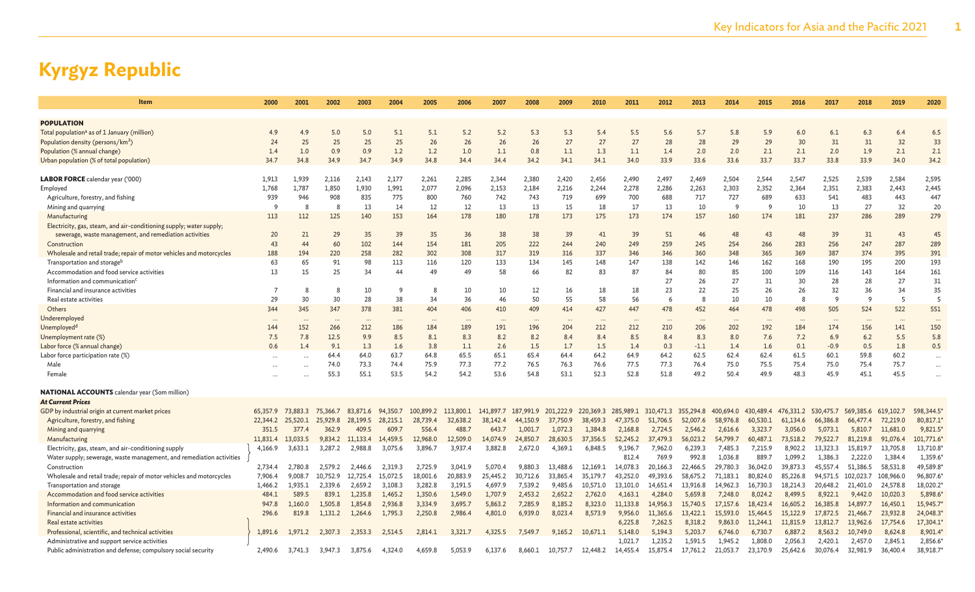| Item                                                                 | 2000           | 2001     | 2002         | 2003     | 2004     | 2005      | 2006      | 2007      | 2008      | 2009      | 2010      | 2011      | 2012      | 2013      | 2014      | 2015      | 2016         | 2017      | 2018      | 2019      | 2020      |
|----------------------------------------------------------------------|----------------|----------|--------------|----------|----------|-----------|-----------|-----------|-----------|-----------|-----------|-----------|-----------|-----------|-----------|-----------|--------------|-----------|-----------|-----------|-----------|
|                                                                      |                |          |              |          |          |           |           |           |           |           |           |           |           |           |           |           |              |           |           |           |           |
| <b>POPULATION</b>                                                    |                |          |              |          |          |           |           |           |           |           |           |           |           |           |           |           |              |           |           |           |           |
| Total population <sup>a</sup> as of 1 January (million)              | 4.9            | 4.9      | 5.0          | 5.0      | 5.1      | 5.1       | 5.2       | 5.2       | 5.3       | 5.3       | 5.4       | 5.5       | 5.6       | 5.7       | 5.8       | 5.9       | 6.0          | 6.1       | 6.3       | 6.4       | 6.5       |
| Population density (persons/km <sup>2</sup> )                        | 24             | 25       | 25           | 25       | 25       | 26        | 26        | 26        | 26        | 27        | 27        | 27        | 28        | 28        | 29        | 29        | 30           | 31        | 31        | 32        | 33        |
| Population (% annual change)                                         | 1.4            | 1.0      | 0.9          | 0.9      | 1.2      | 1.2       | 1.0       | 1.1       | 0.8       | 1.1       | 1.3       | 1.1       | 1.4       | 2.0       | 2.0       | 2.1       | 2.1          | 2.0       | 1.9       | 2.1       | 2.1       |
| Urban population (% of total population)                             | 34.7           | 34.8     | 34.9         | 34.7     | 34.9     | 34.8      | 34.4      | 34.4      | 34.2      | 34.1      | 34.1      | 34.0      | 33.9      | 33.6      | 33.6      | 33.7      | 33.7         | 33.8      | 33.9      | 34.0      | 34.2      |
| <b>LABOR FORCE</b> calendar year ('000)                              | 1.913          | 1.939    | 2,116        | 2,143    | 2,177    | 2,261     | 2,285     | 2,344     | 2,380     | 2,420     | 2,456     | 2,490     | 2,497     | 2,469     | 2,504     | 2,544     | 2,547        | 2,525     | 2,539     | 2,584     | 2,595     |
|                                                                      | 1,768          | 1.787    | 1,850        | 1,930    | 1,991    | 2,077     | 2,096     | 2,153     | 2,184     | 2,216     | 2,244     | 2,278     | 2,286     | 2,263     | 2,303     | 2,352     | 2,364        | 2,351     | 2,383     | 2,443     | 2,445     |
| Employed<br>Agriculture, forestry, and fishing                       | 939            | 946      | 908          | 835      | 775      | 800       | 760       | 742       | 743       | 719       | 699       | 700       | 688       | 717       | 727       | 689       | 633          | 541       | 483       | 443       | 447       |
| Mining and quarrying                                                 | <sup>9</sup>   | 8        | $\mathbf{g}$ | 13       | 14       | 12        | 12        | 13        | 13        | 15        | 18        | 17        | 13        | 10        | 9         | q         | 10           | 13        | 27        | 32        | 20        |
|                                                                      |                |          |              | 140      |          |           | 178       |           |           |           |           | 173       | 174       |           |           |           |              |           |           |           | 279       |
| Manufacturing                                                        | 113            | 112      | 125          |          | 153      | 164       |           | 180       | 178       | 173       | 175       |           |           | 157       | 160       | 174       | 181          | 237       | 286       | 289       |           |
| Electricity, gas, steam, and air-conditioning supply; water supply;  |                |          |              |          |          |           |           |           |           |           |           |           |           |           |           |           |              |           |           |           |           |
| sewerage, waste management, and remediation activities               | 20             | 21       | 29           | 35       | 39       | 35        | 36        | 38        | 38        | 39        | 41        | 39        | 51        | 46        | 48        | 43        | 48           | 39        | 31        | 43        | 45        |
| Construction                                                         | 43             | 44       | 60           | 102      | 144      | 154       | 181       | 205       | 222       | 244       | 240       | 249       | 259       | 245       | 254       | 266       | 283          | 256       | 247       | 287       | 289       |
| Wholesale and retail trade; repair of motor vehicles and motorcycles | 188            | 194      | 220          | 258      | 282      | 302       | 308       | 317       | 319       | 316       | 337       | 346       | 346       | 360       | 348       | 365       | 369          | 387       | 374       | 395       | 391       |
| Transportation and storage <sup>b</sup>                              | 63             | 65       | 91           | 98       | 113      | 116       | 120       | 133       | 134       | 145       | 148       | 147       | 138       | 142       | 146       | 162       | 168          | 190       | 195       | 200       | 193       |
| Accommodation and food service activities                            | 13             | 15       | 25           | 34       | 44       | 49        | 49        | 58        | 66        | 82        | 83        | 87        | 84        | 80        | 85        | 100       | 109          | 116       | 143       | 164       | 161       |
| Information and communication                                        |                |          |              |          |          |           |           |           |           |           |           |           | 27        | 26        | 27        | 31        | 30           | 28        | 28        | 27        | 31        |
| Financial and insurance activities                                   | $\overline{7}$ | 8        | 8            | 10       | -9       | 8         | 10        | 10        | 12        | 16        | 18        | 18        | 23        | 22        | 25        | 26        | 26           | 32        | 36        | 34        | 35        |
| Real estate activities                                               | 29             | 30       | 30           | 28       | 38       | 34        | 36        | 46        | 50        | 55        | 58        | 56        | 6         | 8         | 10        | 10        | $\mathbf{g}$ | q         | 9         | 5         | 5         |
| Others                                                               | 344            | 345      | 347          | 378      | 381      | 404       | 406       | 410       | 409       | 414       | 427       | 447       | 478       | 452       | 464       | 478       | 498          | 505       | 524       | 522       | 551       |
| Underemployed                                                        |                |          | $\cdots$     |          |          | $\cdots$  |           |           |           |           |           |           |           |           | $\cdots$  |           |              |           |           | $\cdots$  |           |
| Unemployed <sup>d</sup>                                              | 144            | 152      | 266          | 212      | 186      | 184       | 189       | 191       | 196       | 204       | 212       | 212       | 210       | 206       | 202       | 192       | 184          | 174       | 156       | 141       | 150       |
| Unemployment rate (%)                                                | 7.5            | 7.8      | 12.5         | 9.9      | 8.5      | 8.1       | 8.3       | 8.2       | 8.2       | 8.4       | 8.4       | 8.5       | 8.4       | 8.3       | 8.0       | 7.6       | 7.2          | 6.9       | 6.2       | 5.5       | 5.8       |
| Labor force (% annual change)                                        | 0.6            | 1.4      | 9.1          | 1.3      | 1.6      | 3.8       | 1.1       | 2.6       | 1.5       | 1.7       | 1.5       | 1.4       | 0.3       | $-1.1$    | 1.4       | 1.6       | 0.1          | $-0.9$    | 0.5       | 1.8       | 0.5       |
| Labor force participation rate (%)                                   |                |          | 64.4         | 64.0     | 63.7     | 64.8      | 65.5      | 65.1      | 65.4      | 64.4      | 64.2      | 64.9      | 64.2      | 62.5      | 62.4      | 62.4      | 61.5         | 60.1      | 59.8      | 60.2      | .         |
| Male                                                                 |                |          | 74.0         | 73.3     | 74.4     | 75.9      | 77.3      | 77.2      | 76.5      | 76.3      | 76.6      | 77.5      | 77.3      | 76.4      | 75.0      | 75.5      | 75.4         | 75.0      | 75.4      | 75.7      | $\cdots$  |
| Female                                                               |                |          | 55.3         | 55.1     | 53.5     | 54.2      | 54.2      | 53.6      | 54.8      | 53.1      | 52.3      | 52.8      | 51.8      | 49.2      | 50.4      | 49.9      | 48.3         | 45.9      | 45.1      | 45.5      | $\ddotsc$ |
| <b>NATIONAL ACCOUNTS</b> calendar year (Som million)                 |                |          |              |          |          |           |           |           |           |           |           |           |           |           |           |           |              |           |           |           |           |
| <b>At Current Prices</b>                                             |                |          |              |          |          |           |           |           |           |           |           |           |           |           |           |           |              |           |           |           |           |
| GDP by industrial origin at current market prices                    | 65,357.9       | 73.883.3 | 75,366.7     | 83,871.6 | 94,350.7 | 100,899.2 | 113,800.1 | 141,897.7 | 187,991.9 | 201,222.9 | 220,369.3 | 285,989.1 | 310,471.3 | 355,294.8 | 400,694.0 | 430,489.4 | 476,331.2    | 530,475.7 | 569,385.6 | 619,102.7 | 598,344.5 |
| Agriculture, forestry, and fishing                                   | 22,344.2       | 25,520.1 | 25,929.8     | 28,199.5 | 28,215.1 | 28,739.4  | 32,638.2  | 38,142.4  | 44,150.9  | 37,750.9  | 38,459.3  | 47,375.0  | 51,706.5  | 52,007.6  | 58,976.8  | 60.530.1  | 61,134.6     | 66,386.8  | 66,477.4  | 72,219.0  | 80,817.1  |
| Mining and quarrying                                                 | 351.5          | 377.4    | 362.9        | 409.5    | 609.7    | 556.4     | 488.7     | 643.7     | 1,001.7   | 1,072.3   | 1,384.8   | 2,168.8   | 2,724.5   | 2,546.2   | 2.616.6   | 3.323.7   | 3,056.0      | 5,073.1   | 5,810.7   | 11,681.0  | 9,821.5   |
| Manufacturing                                                        | 11,831.4       | 13,033.5 | 9.834.2      | 11.133.4 | 14,459.5 | 12,968.0  | 12,509.0  | 14,074.9  | 24,850.7  | 28,630.5  | 37,356.5  | 52,245.2  | 37,479.3  | 56,023.2  | 54,799.7  | 60,487.1  | 73,518.2     | 79,522.7  | 81,219.8  | 91,076.4  | 101,771.6 |
| Electricity, gas, steam, and air-conditioning supply                 | 4,166.9        | 3,633.1  | 3,287.2      | 2,988.8  | 3,075.6  | 3,896.7   | 3,937.4   | 3,882.8   | 2,672.0   | 4,369.1   | 6,848.5   | 9,196.7   | 7,962.0   | 6,239.3   | 7,485.3   | 7,215.9   | 8,902.2      | 13,323.3  | 15,819.7  | 13,705.8  | 13,710.8  |
| Water supply; sewerage, waste management, and remediation activities |                |          |              |          |          |           |           |           |           |           |           | 812.4     | 769.9     | 992.8     | 1.036.8   | 889.7     | 1,099.2      | 1,386.3   | 2,222.0   | 1,384.4   | 1,359.6   |
| Construction                                                         | 2,734.4        | 2.780.8  | 2.579.2      | 2,446.6  | 2.319.3  | 2,725.9   | 3,041.9   | 5,070.4   | 9.880.3   | 13,488.6  | 12.169.1  | 14,078.3  | 20,166.3  | 22,466.5  | 29,780.3  | 36,042.0  | 39,873.3     | 45,557.4  | 51.386.5  | 58,531.8  | 49,589.8  |
| Wholesale and retail trade; repair of motor vehicles and motorcycles | 7,906.4        | 9,008.7  | 10,752.9     | 12,725.4 | 15,072.5 | 18,001.6  | 20,883.9  | 25,445.2  | 30,712.6  | 33,865.4  | 35,179.7  | 43,252.0  | 49,393.6  | 58,675.2  | 71,183.1  | 80,824.0  | 85,226.8     | 94,571.5  | 102,023.7 | 108,966.0 | 96,807.6  |
| Transportation and storage                                           | 1,466.2        | 1,935.1  | 2,339.6      | 2,659.2  | 3,108.3  | 3,282.8   | 3,191.5   | 4,697.9   | 7,539.2   | 9,485.6   | 10,571.0  | 13,101.0  | 14,651.4  | 13,916.8  | 14,962.3  | 16,730.3  | 18,214.3     | 20,648.2  | 21,401.0  | 24,578.8  | 18,020.2  |
| Accommodation and food service activities                            | 484.1          | 589.5    | 839.1        | 1,235.8  | 1,465.2  | 1,350.6   | 1,549.0   | 1,707.9   | 2,453.2   | 2.652.2   | 2,762.0   | 4,163.1   | 4,284.0   | 5,659.8   | 7,248.0   | 8.024.2   | 8.499.5      | 8,922.1   | 9.442.0   | 10,020.3  | 5,898.6   |
| Information and communication                                        | 947.8          | 1,160.0  | 1,505.8      | 1,854.8  | 2,936.8  | 3,334.9   | 3,695.7   | 5,863.2   | 7,285.9   | 8,185.2   | 8,323.0   | 11,133.8  | 14,956.3  | 15,740.5  | 17,157.6  | 18,423.4  | 16,605.2     | 16,385.8  | 14,897.7  | 16,450.1  | 15,945.7  |
| Financial and insurance activities                                   | 296.6          | 819.8    | 1,131.2      | 1,264.6  | 1,795.3  | 2,250.8   | 2,986.4   | 4,801.0   | 6,939.0   | 8,023.4   | 8,573.9   | 9,956.0   | 11,365.6  | 13,422.1  | 15,593.0  | 15,464.5  | 15,122.9     | 17,872.5  | 21,466.7  | 23,932.8  | 24,048.3  |
| Real estate activities                                               |                |          |              |          |          |           |           |           |           |           |           | 6,225.8   | 7,262.5   | 8,318.2   | 9,863.0   | 11,244.1  | 11,815.9     | 13,812.7  | 13,962.6  | 17,754.6  | 17,304.1  |
| Professional, scientific, and technical activities                   | 1,891.6        | 1.971.2  | 2.307.3      | 2.353.3  | 2.514.5  | 2.814.1   | 3.321.7   | 4.325.5   | 7,549.7   | 9.165.2   | 10.671.1  | 5.148.0   | 5.194.3   | 5.203.7   | 6,746.0   | 6,730.7   | 6,887.2      | 8,563.2   | 10,749.0  | 8,624.8   | 8,901.4   |
| Administrative and support service activities                        |                |          |              |          |          |           |           |           |           |           |           | 1,021.7   | 1,235.2   | 1,591.5   | 1,945.2   | 1,808.0   | 2,056.3      | 2,420.1   | 2.457.0   | 2,845.1   | 2,856.6   |
| Public administration and defense; compulsory social security        | 2,490.6        | 3,741.3  | 3.947.3      | 3,875.6  | 4,324.0  | 4.659.8   | 5,053.9   | 6,137.6   | 8.660.1   | 10.757.7  | 12,448.2  | 14,455.4  | 15,875.4  | 17,761.2  | 21.053.7  | 23,170.9  | 25,642.6     | 30.076.4  | 32,981.9  | 36,400.4  | 38,918.7  |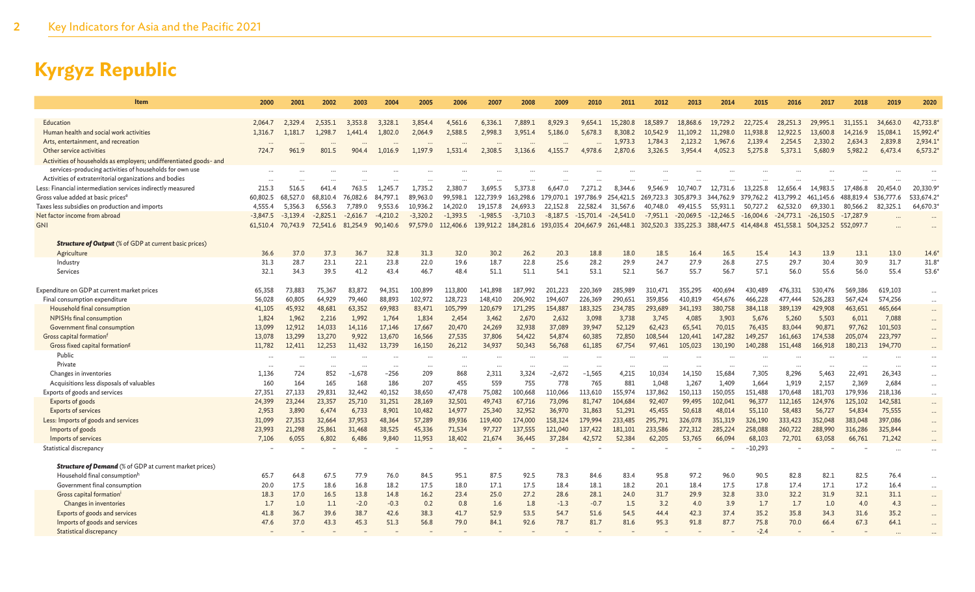| Item                                                               | 2000            | 2001             | 2002            | 2003             | 2004             | 2005            | 2006             | 2007               | 2008                | 2009               | 2010                | 2011               | 2012                | 2013               | 2014               | 2015               | 2016               | 2017                          | 2018             | 2019               | 2020       |
|--------------------------------------------------------------------|-----------------|------------------|-----------------|------------------|------------------|-----------------|------------------|--------------------|---------------------|--------------------|---------------------|--------------------|---------------------|--------------------|--------------------|--------------------|--------------------|-------------------------------|------------------|--------------------|------------|
| Education                                                          | 2.064.7         | 2.329.4          | 2.535.1         | 3.353.8          | 3.328.1          | 3.854.4         | 4.561.6          | 6.336.1            | 7.889.1             | 8,929.3            | 9.654.1             | 15,280.8           | 18.589.7            | 18.868.6           | 19.729.2           | 22.725.4           | 28,251.3           | 29,995.1                      | 31.155.1         | 34,663.0           | 42,733.8   |
| Human health and social work activities                            | 1,316.7         | 1,181.7          | 1,298.7         | 1,441.4          | 1,802.0          | 2,064.9         | 2,588.5          | 2,998.3            | 3,951.4             | 5,186.0            | 5,678.3             | 8,308.2            | 10,542.9            | 11,109.2           | 11,298.0           | 11,938.8           | 12,922.5           | 13,600.8                      | 14,216.9         | 15,084.1           | 15,992.4   |
| Arts, entertainment, and recreation                                |                 |                  |                 |                  |                  |                 |                  |                    |                     |                    |                     | 1,973.3            | 1,784.3             | 2,123.2            | 1.967.6            | 2,139.4            | 2,254.5            | 2,330.2                       | 2,634.3          | 2,839.8            | 2,934.1'   |
| Other service activities                                           | 724.7           | 961.9            | 801.5           | 904.4            | 1.016.9          | 1.197.9         | 1.531.4          | 2.308.5            | 3.136.6             | 4.155.7            | 4.978.6             | 2,870.6            | 3.326.5             | 3.954.4            | 4.052.3            | 5.275.8            | 5.373.1            | 5.680.9                       | 5.982.2          | 6,473.4            | $6,573.2*$ |
| Activities of households as employers; undifferentiated goods- and |                 |                  |                 |                  |                  |                 |                  |                    |                     |                    |                     |                    |                     |                    |                    |                    |                    |                               |                  |                    |            |
| services-producing activities of households for own use            |                 |                  |                 |                  |                  |                 |                  |                    |                     |                    |                     |                    |                     |                    |                    |                    |                    |                               |                  |                    |            |
| Activities of extraterritorial organizations and bodies            |                 |                  |                 |                  |                  |                 |                  |                    |                     |                    |                     |                    |                     |                    |                    |                    |                    |                               |                  |                    |            |
| Less: Financial intermediation services indirectly measured        | 215.3           | 516.5            | 641.4           | 763.5            | 1.245.7          | 1.735.2         | 2.380.7          | 3.695.5            | 5.373.8             | 6,647.0            | 7.271.2             | 8.344.6            | 9,546.9             | 10,740.7           | 12.731.6           | 13,225.8           | 12.656.4           | 14.983.5                      | 17,486.8         | 20,454.0           | 20,330.9   |
| Gross value added at basic prices <sup>e</sup>                     | 60,802.5        | 68,527.0         | 68,810.4        | 76,082.6         | 84.797.          | 89,963.0        | 99.598.1         | 122,739.9          | 163,298.6           | 179,070.1          | 197,786.9           | 254,421.5          | 269,723.3 305,879.3 |                    | 344,762.9          | 379,762.2          | 413.799.2          | 461,145.6                     | 488,819.4        | 536,777.6          | 533,674.2  |
| Taxes less subsidies on production and imports                     | 4,555.4         | 5,356.3          | 6.556.3         | 7,789.0          | 9,553.6          | 10,936.2        | 14,202.0         | 19,157.8           | 24,693.3            | 22,152.8           | 22.582.4            | 31,567.6           | 40,748.0            | 49,415.5           | 55,931.1           | 50,727.2           | 62,532.0           | 69,330.1                      | 80,566.2         | 82,325.1           | 64,670.3   |
| Net factor income from abroad                                      | $-3.847.5$      | $-3.139.4$       | $-2.825.1$      | $-2.616.7$       | $-4.210.2$       | $-3.320.2$      | $-1,393.5$       | $-1.985.5$         | $-3,710,3$          | $-8.187.5$         | $-15.701.4$         | $-24.541.0$        | $-7,951.1$          | $-20.069.5$        | $-12.246.5$        | $-16,004.6$        | $-24.773.1$        | $-26.150.5$                   | $-17.287.9$      |                    |            |
| <b>GNI</b>                                                         | 61,510.4        | 70,743.9         | 72,541.6        | 81,254.9         | 90,140.6         | 97,579.0        | 112,406.6        | 139,912.2          | 184,281.6 193,035.4 |                    | 204,667.9 261,448.1 |                    | 302,520.3 335,225.3 |                    | 388,447.5          | 414,484.8          |                    | 451,558.1 504,325.2 552,097.7 |                  |                    |            |
| <b>Structure of Output</b> (% of GDP at current basic prices)      |                 |                  |                 |                  |                  |                 |                  |                    |                     |                    |                     |                    |                     |                    |                    |                    |                    |                               |                  |                    |            |
| Agriculture                                                        | 36.6            | 37.0             | 37.3            | 36.7             | 32.8             | 31.3            | 32.0             | 30.2               | 26.2                | 20.3               | 18.8                | 18.0               | 18.5                | 16.4               | 16.5               | 15.4               | 14.3               | 13.9                          | 13.1             | 13.0               | $14.6*$    |
| Industry                                                           | 31.3            | 28.7             | 23.1            | 22.1             | 23.8             | 22.0            | 19.6             | 18.7               | 22.8                | 25.6               | 28.2                | 29.9               | 24.7                | 27.9               | 26.8               | 27.5               | 29.7               | 30.4                          | 30.9             | 31.7               | $31.8*$    |
| Services                                                           | 32.1            | 34.3             | 39.5            | 41.2             | 43.4             | 46.7            | 48.4             | 51.1               | 51.1                | 54.1               | 53.1                | 52.1               | 56.7                | 55.7               | 56.7               | 57.1               | 56.0               | 55.6                          | 56.0             | 55.4               | $53.6*$    |
|                                                                    |                 |                  |                 |                  |                  |                 |                  |                    |                     |                    |                     |                    |                     |                    |                    |                    |                    |                               |                  |                    |            |
| Expenditure on GDP at current market prices                        | 65,358          | 73,883           | 75,367          | 83,872           | 94,351           | 100,899         | 113,800          | 141,898            | 187.992             | 201.223            | 220,369             | 285.989            | 310,471             | 355,295            | 400.694            | 430.489            | 476,331            | 530.476                       | 569,386          | 619,103            | $\cdots$   |
| Final consumption expenditure<br>Household final consumption       | 56,028          | 60,805<br>45,932 | 64,929          | 79,460<br>63,352 | 88,893<br>69,983 | 102,972         | 128,723          | 148,410<br>120,679 | 206,902<br>171,295  | 194,607<br>154,887 | 226,369             | 290,651<br>234,785 | 359,856             | 410,819<br>341,193 | 454,676<br>380,758 | 466,228<br>384,118 | 477,444<br>389,139 | 526,283<br>429,908            | 567,424          | 574,256<br>465,664 | $\cdots$   |
| NPISHs final consumption                                           | 41,105<br>1,824 | 1,962            | 48,681<br>2,216 | 1,992            | 1,764            | 83,471<br>1,834 | 105,799<br>2,454 | 3,462              | 2,670               | 2,632              | 183,325<br>3,098    | 3,738              | 293,689<br>3,745    | 4,085              | 3,903              | 5,676              | 5,260              | 5,503                         | 463,651<br>6,011 | 7,088              |            |
| Government final consumption                                       | 13,099          | 12,912           | 14,033          | 14,116           | 17,146           | 17,667          | 20,470           | 24,269             | 32,938              | 37,089             | 39,947              | 52,129             | 62,423              | 65,541             | 70,015             | 76,435             | 83,044             | 90,871                        | 97,762           | 101,503            |            |
| Gross capital formation <sup>1</sup>                               | 13,078          | 13,299           | 13,270          | 9,922            | 13,670           | 16,566          | 27,535           | 37,806             | 54,422              | 54,874             | 60,385              | 72,850             | 108,544             | 120,441            | 147,282            | 149,257            | 161,663            | 174,538                       | 205,074          | 223,797            |            |
| Gross fixed capital formation <sup>g</sup>                         | 11,782          | 12,411           | 12.253          | 11.432           | 13,739           | 16.150          | 26.212           | 34.937             | 50,343              | 56,768             | 61.185              | 67.754             | 97,461              | 105,023            | 130,190            | 140,288            | 151,448            | 166,918                       | 180,213          | 194,770            |            |
| Public                                                             |                 |                  |                 |                  |                  | $\cdots$        | $\cdot \cdot$    |                    |                     |                    |                     |                    |                     |                    |                    |                    |                    |                               |                  |                    |            |
| Private                                                            | $\cdots$        |                  |                 | $\ddots$         | $\ddotsc$        | .               | $\cdots$         | $\cdots$           | $\cdots$            |                    | $\cdots$            |                    |                     |                    | $\cdots$           |                    |                    |                               | .                |                    | $\cdots$   |
| Changes in inventories                                             | 1,136           | 724              | 852             | $-1.678$         | $-256$           | 209             | 868              | 2.311              | 3.324               | $-2.672$           | $-1.565$            | 4,215              | 10.034              | 14,150             | 15.684             | 7,305              | 8.296              | 5.463                         | 22,491           | 26.343             |            |
| Acquisitions less disposals of valuables                           | 160             | 164              | 165             | 168              | 186              | 207             | 455              | 559                | 755                 | 778                | 765                 | 881                | 1,048               | 1,267              | 1,409              | 1,664              | 1,919              | 2,157                         | 2,369            | 2,684              | $\cdots$   |
| Exports of goods and services                                      | 27,351          | 27,133           | 29,831          | 32,442           | 40,152           | 38,650          | 47,478           | 75,082             | LOO,668             | 110,066            | 113,610             | 155,974            | 137,862             | 150,113            | 150,055            | 151,488            | 170,648            | 181,703                       | 179,936          | 218,136            | $\cdots$   |
| Exports of goods                                                   | 24,399          | 23,244           | 23.357          | 25,710           | 31,251           | 28,169          | 32,501           | 49.743             | 67.716              | 73,096             | 81,747              | 104.684            | 92,407              | 99,495             | 102.041            | 96,377             | 112,165            | 124,976                       | 125,102          | 142,581            |            |
| <b>Exports of services</b>                                         | 2,953           | 3,890            | 6,474           | 6,733            | 8,901            | 10,482          | 14,977           | 25,340             | 32,952              | 36,970             | 31,863              | 51,291             | 45,455              | 50,618             | 48,014             | 55,110             | 58,483             | 56,727                        | 54,834           | 75,555             |            |
| Less: Imports of goods and services                                | 31,099          | 27,353           | 32,664          | 37,953           | 48,364           | 57,289          | 89,936           | 119,400            | 174,000             | 158,324            | 179,994             | 233,485            | 295,791             | 326,078            | 351,319            | 326,190            | 333,423            | 352,048                       | 383,048          | 397,086            |            |
| Imports of goods                                                   | 23,993          | 21,298           | 25,861          | 31,468           | 38,525           | 45,336          | 71,534           | 97,727             | 137,555             | 121,040            | 137,422             | 181.101            | 233,586             | 272,312            | 285,224            | 258,088            | 260,722            | 288,990                       | 316,286          | 325,844            |            |
| Imports of services                                                | 7.106           | 6,055            | 6,802           | 6.486            | 9,840            | 11,953          | 18,402           | 21,674             | 36,445              | 37,284             | 42,572              | 52,384             | 62,205              | 53,765             | 66,094             | 68,103             | 72,701             | 63,058                        | 66,761           | 71,242             |            |
| Statistical discrepancy                                            |                 |                  |                 |                  |                  |                 |                  |                    |                     |                    |                     |                    |                     |                    |                    | $-10,293$          |                    |                               |                  |                    |            |
| <b>Structure of Demand</b> (% of GDP at current market prices)     |                 |                  |                 |                  |                  |                 |                  |                    |                     |                    |                     |                    |                     |                    |                    |                    |                    |                               |                  |                    |            |
| Household final consumption <sup>h</sup>                           | 65.7            | 64.8             | 67.5            | 77.9             | 76.0             | 84.5            | 95.1             | 87.5               | 92.5                | 78.3               | 84.6                | 83.4               | 95.8                | 97.2               | 96.0               | 90.5               | 82.8               | 82.1                          | 82.5             | 76.4               | $\cdots$   |
| Government final consumption                                       | 20.0            | 17.5             | 18.6            | 16.8             | 18.2             | 17.5            | 18.0             | 17.1               | 17.5                | 18.4               | 18.1                | 18.2               | 20.1                | 18.4               | 17.5               | 17.8               | 17.4               | 17.1                          | 17.2             | 16.4               |            |
| Gross capital formationi                                           | 18.3            | 17.0             | 16.5            | 13.8             | 14.8             | 16.2            | 23.4             | 25.0               | 27.2                | 28.6               | 28.1                | 24.0               | 31.7                | 29.9               | 32.8               | 33.0               | 32.2               | 31.9                          | 32.1             | 31.1               | $\cdots$   |
| Changes in inventories                                             | 1.7             | 1.0              | 1.1             | $-2.0$           | $-0.3$           | 0.2             | 0.8              | 1.6                | 1.8                 | $-1.3$             | $-0.7$              | 1.5                | 3.2                 | 4.0                | 3.9                | 1.7                | 1.7                | 1.0                           | 4.0              | 4.3                |            |
| Exports of goods and services                                      | 41.8            | 36.7             | 39.6            | 38.7             | 42.6             | 38.3            | 41.7             | 52.9               | 53.5                | 54.7               | 51.6                | 54.5               | 44.4                | 42.3               | 37.4               | 35.2               | 35.8               | 34.3                          | 31.6             | 35.2               |            |
| Imports of goods and services                                      | 47.6            | 37.0             | 43.3            | 45.3             | 51.3             | 56.8            | 79.0             | 84.1               | 92.6                | 78.7               | 81.7                | 81.6               | 95.3                | 91.8               | 87.7               | 75.8               | 70.0               | 66.4                          | 67.3             | 64.1               |            |
| <b>Statistical discrepancy</b>                                     |                 |                  |                 |                  |                  |                 |                  |                    |                     |                    |                     |                    |                     |                    |                    | $-2.4$             |                    |                               |                  |                    |            |
|                                                                    |                 |                  |                 |                  |                  |                 |                  |                    |                     |                    |                     |                    |                     |                    |                    |                    |                    |                               |                  |                    |            |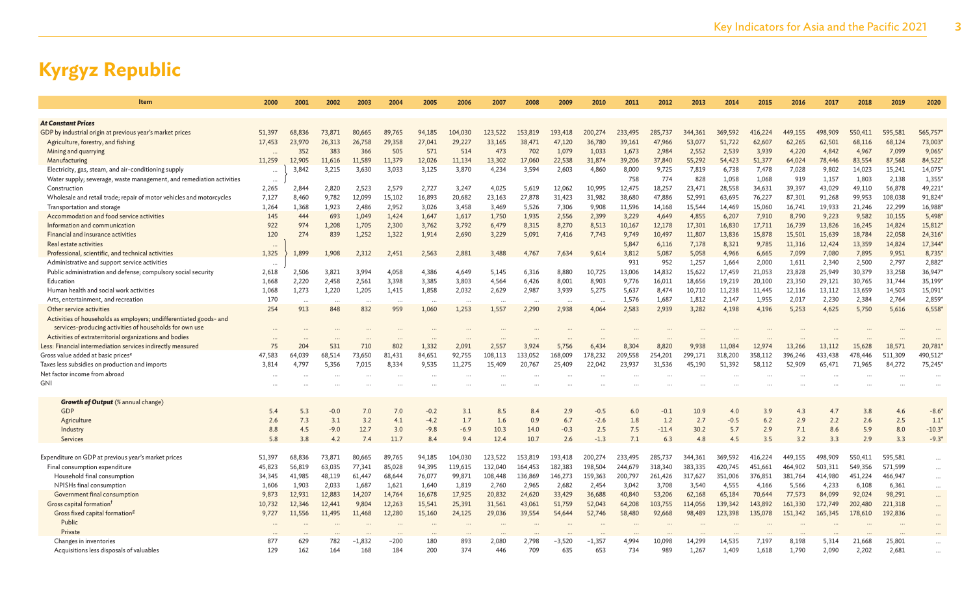| Item                                                                 | 2000       | 2001       | 2002                     | 2003        | 2004       | 2005                     | 2006          | 2007        | 2008        | 2009                     | 2010          | 2011       | 2012           | 2013        | 2014          | 2015       | 2016       | 2017       | 2018       | 2019       | 2020           |
|----------------------------------------------------------------------|------------|------------|--------------------------|-------------|------------|--------------------------|---------------|-------------|-------------|--------------------------|---------------|------------|----------------|-------------|---------------|------------|------------|------------|------------|------------|----------------|
|                                                                      |            |            |                          |             |            |                          |               |             |             |                          |               |            |                |             |               |            |            |            |            |            |                |
| <b>At Constant Prices</b>                                            |            |            |                          |             |            |                          |               |             |             |                          |               |            |                |             |               |            |            |            |            |            |                |
| GDP by industrial origin at previous year's market prices            | 51,397     | 68.836     | 73,871                   | 80,665      | 89.765     | 94,185                   | 104,030       | 123,522     | 153,819     | 193.418                  | 200,274       | 233,495    | 285.737        | 344,361     | 369.592       | 416,224    | 449,155    | 498,909    | 550.411    | 595,581    | 565,757        |
| Agriculture, forestry, and fishing                                   | 17,453     | 23,970     | 26,313                   | 26,758      | 29,358     | 27,041                   | 29,227        | 33,165      | 38,471      | 47,120                   | 36,780        | 39,161     | 47,966         | 53,077      | 51,722        | 62,607     | 62,265     | 62,501     | 68,116     | 68,124     | 73,003         |
| Mining and quarrying                                                 |            | 352        | 383                      | 366         | 505        | 571                      | 514           | 473         | 702         | 1,079                    | 1,033         | 1,673      | 2,984          | 2,552       | 2,539         | 3,939      | 4,220      | 4,842      | 4,967      | 7,099      | 9,065          |
| Manufacturing                                                        | 11,259     | 12,905     | 11,616                   | 11,589      | 11,379     | 12,026                   | 11,134        | 13,302      | 17,060      | 22,538                   | 31,874        | 39,206     | 37,840         | 55,292      | 54,423        | 51,377     | 64,024     | 78,446     | 83,554     | 87,568     | 84,522         |
| Electricity, gas, steam, and air-conditioning supply                 | $\cdots$   | 3,842      | 3,215                    | 3,630       | 3,033      | 3,125                    | 3,870         | 4,234       | 3,594       | 2,603                    | 4,860         | 8,000      | 9,725          | 7,819       | 6,738         | 7,478      | 7,028      | 9,802      | 14,023     | 15,241     | 14,075         |
| Water supply; sewerage, waste management, and remediation activities | $\cdots$   |            |                          |             |            |                          |               |             |             |                          |               | 758        | 774            | 828         | 1,058         | 1,068      | 919        | 1,157      | 1,803      | 2,138      | 1,355          |
| Construction                                                         | 2,265      | 2,844      | 2,820                    | 2,523       | 2,579      | 2,727                    | 3,247         | 4,025       | 5,619       | 12,062                   | 10,995        | 12,475     | 18,257         | 23,471      | 28,558        | 34,631     | 39,397     | 43,029     | 49,110     | 56,878     | 49,221         |
| Wholesale and retail trade; repair of motor vehicles and motorcycles | 7,127      | 8,460      | 9,782                    | 12,099      | 15,102     | 16,893                   | 20,682        | 23,163      | 27,878      | 31,423                   | 31,982        | 38,680     | 47,886         | 52,991      | 63,695        | 76,227     | 87,301     | 91,268     | 99,953     | 108,038    | 91,824         |
| Transportation and storage                                           | 1,264      | 1,368      | 1,923                    | 2,486       | 2,952      | 3,026                    | 3,458         | 3,469       | 5,526       | 7,306                    | 9,908         | 11,596     | 14,168         | 15,544      | 14,469        | 15,060     | 16,741     | 19,933     | 21,246     | 22,299     | 16,988         |
| Accommodation and food service activities                            | 145        | 444        | 693                      | 1,049       | 1,424      | 1,647                    | 1,617         | 1,750       | 1,935       | 2,556                    | 2,399         | 3,229      | 4,649          | 4,855       | 6,207         | 7,910      | 8,790      | 9,223      | 9,582      | 10,155     | 5,498          |
| Information and communication                                        | 922        | 974        | 1,208                    | 1,705       | 2,300      | 3,762                    | 3,792         | 6,479       | 8,315       | 8,270                    | 8,513         | 10,167     | 12,178         | 17,301      | 16,830        | 17,711     | 16,739     | 13,826     | 16,245     | 14,824     | 15,812         |
| Financial and insurance activities                                   | 120        | 274        | 839                      | 1,252       | 1,322      | 1,914                    | 2,690         | 3,229       | 5,091       | 7,416                    | 7,743         | 9,749      | 10,497         | 11,807      | 13,836        | 15,878     | 15,501     | 15,639     | 18,784     | 22,058     | 24,316         |
| Real estate activities                                               | $\cdots$   |            |                          |             |            |                          |               |             |             |                          |               | 5.847      | 6,116          | 7,178       | 8,321         | 9,785      | 11,316     | 12,424     | 13,359     | 14,824     | 17,344         |
| Professional, scientific, and technical activities                   | 1,325      | 1,899      | 1.908                    | 2,312       | 2,451      | 2,563                    | 2,881         | 3,488       | 4.767       | 7,634                    | 9,614         | 3,812      | 5,087          | 5,058       | 4,966         | 6,665      | 7,099      | 7,080      | 7,895      | 9,951      | 8,735          |
| Administrative and support service activities                        | $\cdots$   |            |                          |             |            |                          |               |             |             |                          |               | 931        | 952            | 1,257       | 1.664         | 2,000      | 1,611      | 2.340      | 2,500      | 2,797      | 2,882          |
| Public administration and defense; compulsory social security        | 2,618      | 2,506      | 3,821                    | 3,994       | 4,058      | 4,386                    | 4,649         | 5,145       | 6,316       | 8,880                    | 10,725        | 13,006     | 14,832         | 15,622      | 17,459        | 21,053     | 23,828     | 25,949     | 30,379     | 33,258     | 36,947         |
| Education                                                            | 1,668      | 2,220      | 2,458                    | 2,561       | 3,398      | 3,385                    | 3,803         | 4,564       | 6,426       | 8,001                    | 8,903         | 9,776      | 16,011         | 18,656      | 19,219        | 20,100     | 23,350     | 29,121     | 30,765     | 31,744     | 35,199         |
| Human health and social work activities                              | 1,068      | 1,273      | 1,220                    | 1,205       | 1,415      | 1,858                    | 2,032         | 2,629       | 2,987       | 3,939                    | 5,275         | 5,637      | 8,474          | 10,710      | 11,238        | 11,445     | 12,116     | 13,112     | 13,659     | 14,503     | 15,091         |
| Arts, entertainment, and recreation                                  | 170        | $\ddotsc$  | $\overline{\phantom{a}}$ | $\sim$      | $\sim$     | $\overline{\phantom{a}}$ | $\ddotsc$     |             | $\cdots$    | $\overline{\phantom{a}}$ | $\cdots$      | 1.576      | 1,687          | 1,812       | 2,147         | 1,955      | 2,017      | 2.230      | 2,384      | 2,764      | 2,859          |
| Other service activities                                             | 254        | 913        | 848                      | 832         | 959        | 1,060                    | 1,253         | 1,557       | 2,290       | 2,938                    | 4,064         | 2,583      | 2,939          | 3,282       | 4,198         | 4,196      | 5,253      | 4,625      | 5,750      | 5,616      | 6,558          |
| Activities of households as employers; undifferentiated goods- and   |            |            |                          |             |            |                          |               |             |             |                          |               |            |                |             |               |            |            |            |            |            |                |
| services-producing activities of households for own use              | $\ddotsc$  |            |                          |             |            |                          |               |             |             |                          |               |            |                |             |               |            |            |            |            |            |                |
| Activities of extraterritorial organizations and bodies              |            |            |                          |             |            |                          |               |             |             |                          |               |            |                |             |               |            |            |            |            |            |                |
| Less: Financial intermediation services indirectly measured          | 75         | 204        | 531                      | 710         | 802        | 1,332                    | 2,091         | 2,557       | 3,924       | 5,756                    | 6,434         | 8,304      | 8.820          | 9,938       | 11.084        | 12.974     | 13,266     | 13,112     | 15,628     | 18,571     | 20,781         |
| Gross value added at basic prices <sup>e</sup>                       | 47,583     | 64.039     | 68,514                   | 73,650      | 81,431     | 84,651                   | 92,755        | 108,113     | 133,052     | 168,009                  | 178,232       | 209,558    | 254,201        | 299,171     | 318,200       | 358,112    | 396,246    | 433,438    | 478,446    | 511,309    | 490,512        |
| Taxes less subsidies on production and imports                       | 3,814      | 4,797      | 5,356                    | 7,015       | 8,334      | 9,535                    | 11,275        | 15,409      | 20,767      | 25,409                   | 22,042        | 23,937     | 31,536         | 45,190      | 51,392        | 58,112     | 52,909     | 65,471     | 71,965     | 84,272     | 75,245         |
| Net factor income from abroad                                        |            |            |                          |             |            |                          |               |             |             |                          |               |            |                |             |               |            |            |            |            |            |                |
| <b>GNI</b>                                                           |            |            |                          |             |            |                          |               |             |             |                          |               |            |                |             |               |            |            |            |            |            |                |
|                                                                      |            |            |                          |             |            |                          |               |             |             |                          |               |            |                |             |               |            |            |            |            |            |                |
| <b>Growth of Output</b> (% annual change)<br><b>GDP</b>              |            |            |                          |             |            |                          |               |             |             |                          |               |            |                |             |               |            |            |            |            |            | $-8.6*$        |
|                                                                      | 5.4        | 5.3        | $-0.0$                   | 7.0         | 7.0        | $-0.2$                   | 3.1           | 8.5         | 8.4         | 2.9                      | $-0.5$        | 6.0        | $-0.1$         | 10.9        | 4.0           | 3.9        | 4.3        | 4.7        | 3.8        | 4.6        |                |
| Agriculture                                                          | 2.6        | 7.3<br>4.5 | 3.1<br>$-9.0$            | 3.2<br>12.7 | 4.1<br>3.0 | $-4.2$                   | 1.7<br>$-6.9$ | 1.6<br>10.3 | 0.9<br>14.0 | 6.7<br>$-0.3$            | $-2.6$        | 1.8        | 1.2<br>$-11.4$ | 2.7<br>30.2 | $-0.5$<br>5.7 | 6.2        | 2.9<br>7.1 | 2.2        | 2.6<br>5.9 | 2.5<br>8.0 | 1.1<br>$-10.3$ |
| Industry                                                             | 8.8<br>5.8 | 3.8        | 4.2                      | 7.4         | 11.7       | $-9.8$                   | 9.4           | 12.4        | 10.7        | 2.6                      | 2.5<br>$-1.3$ | 7.5<br>7.1 |                | 4.8         | 4.5           | 2.9<br>3.5 | 3.2        | 8.6<br>3.3 | 2.9        | 3.3        | $-9.3$         |
| Services                                                             |            |            |                          |             |            | 8.4                      |               |             |             |                          |               |            | 6.3            |             |               |            |            |            |            |            |                |
| Expenditure on GDP at previous year's market prices                  | 51,397     | 68.836     | 73,871                   | 80,665      | 89.765     | 94,185                   | 104,030       | 123,522     | 153,819     | 193.418                  | 200.274       | 233.495    | 285.737        | 344,361     | 369,592       | 416.224    | 449.155    | 498,909    | 550,411    | 595.581    | $\cdots$       |
| Final consumption expenditure                                        | 45,823     | 56,819     | 63,035                   | 77,341      | 85,028     | 94.395                   | 119,615       | 132.040     | 164,453     | 182,383                  | 198,504       | 244,679    | 318,340        | 383,335     | 420.745       | 451.661    | 464,902    | 503.311    | 549,356    | 571,599    | $\cdots$       |
| Household final consumption                                          | 34,345     | 41,985     | 48,119                   | 61,447      | 68,644     | 76,077                   | 99,871        | 108,448     | 136,869     | 146,273                  | 159,363       | 200,797    | 261,426        | 317,627     | 351,006       | 376,851    | 381,764    | 414,980    | 451,224    | 466,947    | $\cdots$       |
| NPISHs final consumption                                             | 1,606      | 1,903      | 2,033                    | 1,687       | 1,621      | 1,640                    | 1,819         | 2,760       | 2,965       | 2,682                    | 2,454         | 3,042      | 3,708          | 3,540       | 4,555         | 4,166      | 5,566      | 4,233      | 6,108      | 6,361      | $\cdots$       |
| Government final consumption                                         | 9.873      | 12,931     | 12,883                   | 14,207      | 14,764     | 16,678                   | 17,925        | 20,832      | 24,620      | 33,429                   | 36,688        | 40,840     | 53,206         | 62,168      | 65,184        | 70,644     | 77,573     | 84,099     | 92.024     | 98,291     | $\cdots$       |
| Gross capital formation <sup>f</sup>                                 | 10,732     | 12,346     | 12,441                   | 9,804       | 12,263     | 15,541                   | 25,391        | 31,561      | 43,061      | 51,759                   | 52,043        | 64,208     | 103,755        | 114,056     | 139,342       | 143,892    | 161,330    | 172,749    | 202,480    | 221,318    | $\cdots$       |
| Gross fixed capital formation <sup>g</sup>                           | 9,727      | 11,556     | 11,495                   | 11,468      | 12,280     | 15,160                   | 24,125        | 29,036      | 39,554      | 54,644                   | 52,746        | 58,480     | 92,668         | 98,489      | 123,398       | 135,078    | 151,342    | 165,345    | 178,610    | 192,836    | $\cdots$       |
| Public                                                               | $\ddotsc$  |            |                          |             |            |                          |               |             |             |                          |               |            |                |             |               |            |            |            |            |            | $\cdots$       |
| Private                                                              |            |            |                          |             |            |                          |               |             |             |                          |               |            |                |             |               |            |            |            |            |            |                |
| Changes in inventories                                               | 877        | 629        | 782                      | $-1.832$    | -200       | 180                      | 893           | 2.080       | 2.798       | $-3,520$                 | $-1,357$      | 4.994      | 10.098         | 14,299      | 14.535        | 7,197      | 8,198      | 5,314      | 21,668     | 25,801     |                |
| Acquisitions less disposals of valuables                             | 129        | 162        | 164                      | 168         | 184        | 200                      | 374           | 446         | 709         | 635                      | 653           | 734        | 989            | 1,267       | 1,409         | 1,618      | 1,790      | 2,090      | 2,202      | 2,681      |                |
|                                                                      |            |            |                          |             |            |                          |               |             |             |                          |               |            |                |             |               |            |            |            |            |            |                |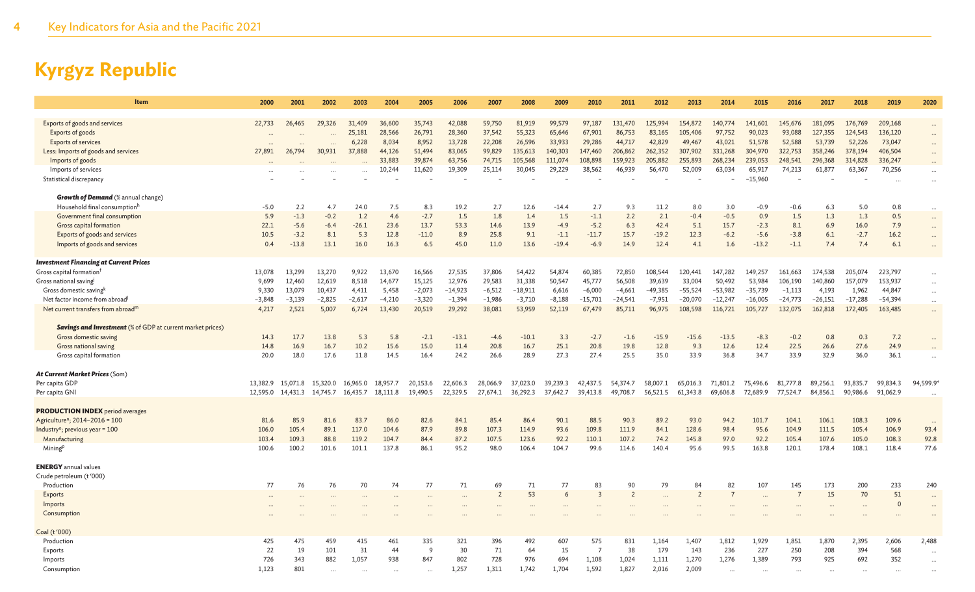| Exports of goods and services<br>59,750<br>81,919<br>99.579<br>154,872<br>141,601<br>145,676<br>209,168<br>22,733<br>26,465<br>29.326<br>31,409<br>36,600<br>35,743<br>42,088<br>97,187<br>131,470<br>125,994<br>140,774<br>181.095<br>176,769<br>28,566<br>55,323<br>90,023<br>93,088<br>127,355<br>Exports of goods<br>25,181<br>26,791<br>28,360<br>37,542<br>65,646<br>67,901<br>86,753<br>83,165<br>105,406<br>97,752<br>124,543<br>136,120<br>$\ddots$<br>$\ddotsc$<br>8,034<br>51,578<br>52,588<br>6,228<br>8,952<br>13,728<br>22,208<br>26,596<br>33,933<br>29,286<br>44,717<br>42,829<br>49,467<br>43,021<br>53,739<br>52,226<br>73,047<br><b>Exports of services</b><br>$\ddots$<br>Less: Imports of goods and services<br>27,891<br>26,794<br>30,931<br>37,888<br>44,126<br>51,494<br>83,065<br>99,829<br>135,613<br>140,303<br>147,460<br>206,862<br>262,352<br>307,902<br>331,268<br>304,970<br>322,753<br>358,246<br>378,194<br>406,504<br>$\cdots$<br>33,883<br>39,874<br>105,568<br>111.074<br>159,923<br>205,882<br>255,893<br>268,234<br>248,541<br>296,368<br>Imports of goods<br>63,756<br>74,715<br>108,898<br>239,053<br>314,828<br>336,247<br>$\cdots$<br>11,620<br>19,309<br>25,114<br>30,045<br>29,229<br>38,562<br>46,939<br>56,470<br>52,009<br>65,917<br>74,213<br>63,367<br>70,256<br>Imports of services<br>10,244<br>63,034<br>61,877<br>$\cdots$<br>$-15,960$<br>Statistical discrepancy<br>$\ddots$<br><b>Growth of Demand</b> (% annual change)<br>Household final consumptionh<br>$-5.0$<br>2.2<br>4.7<br>24.0<br>7.5<br>8.3<br>19.2<br>2.7<br>12.6<br>$-14.4$<br>2.7<br>9.3<br>11.2<br>8.0<br>3.0<br>$-0.9$<br>$-0.6$<br>6.3<br>5.0<br>0.8<br>$\ddotsc$<br>Government final consumption<br>5.9<br>$-1.3$<br>1.2<br>4.6<br>$-2.7$<br>1.5<br>1.8<br>1.5<br>2.2<br>2.1<br>$-0.4$<br>$-0.5$<br>0.9<br>1.5<br>1.3<br>1.3<br>0.5<br>$-0.2$<br>1.4<br>$-1.1$<br>$\cdots$<br>Gross capital formation<br>22.1<br>$-5.6$<br>$-26.1$<br>13.7<br>53.3<br>13.9<br>$-4.9$<br>$-5.2$<br>6.3<br>42.4<br>5.1<br>15.7<br>8.1<br>6.9<br>16.0<br>7.9<br>$-6.4$<br>23.6<br>14.6<br>$-2.3$<br>$\cdots$<br>10.5<br>$-11.0$<br>$-11.7$<br>$-19.2$<br>12.3<br>$-6.2$<br>$-3.8$<br>6.1<br>$-2.7$<br>Exports of goods and services<br>$-3.2$<br>8.1<br>5.3<br>12.8<br>8.9<br>25.8<br>9.1<br>$-1.1$<br>15.7<br>$-5.6$<br>16.2<br>$-13.8$<br>13.1<br>45.0<br>13.6<br>$-19.4$<br>$-6.9$<br>12.4<br>4.1<br>$-13.2$<br>0.4<br>16.0<br>16.3<br>6.5<br>11.0<br>14.9<br>1.6<br>$-1.1$<br>7.4<br>7.4<br>6.1<br>Imports of goods and services<br>$\ddots$<br><b>Investment Financing at Current Prices</b><br>Gross capital formation <sup>1</sup><br>13,078<br>13,299<br>13,270<br>9,922<br>13,670<br>16,566<br>27,535<br>37,806<br>54,422<br>54,874<br>60,385<br>72,850<br>108,544<br>120,441<br>147,282<br>149,257<br>161,663<br>174,538<br>205,074<br>223,797<br>$\dots$<br>31,338<br>153,937<br>Gross national saving<br>12,460<br>12,619<br>8,518<br>14,677<br>15,125<br>12,976<br>29,583<br>50,547<br>45,777<br>56,508<br>39,639<br>33,004<br>50,492<br>53,984<br>106,190<br>140,860<br>157,079<br>9,699<br>$\ldots$<br>Gross domestic saving <sup>k</sup><br>4,411<br>5,458<br>$-2,073$<br>$-14,923$<br>$-18,911$<br>6,616<br>-49,385<br>$-55,524$<br>$-35,739$<br>$-1,113$<br>4,193<br>13,079<br>10,437<br>$-6,512$<br>$-6,000$<br>$-4,661$<br>$-53,982$<br>1,962<br>44,847<br>9,330<br>$\ddotsc$<br>$-4,210$<br>$-1,986$<br>$-8,188$<br>$-7,951$<br>$-20,070$<br>$-24,773$<br>$-17,288$<br>$-54,394$<br>Net factor income from abroad<br>$-3,139$<br>$-2,825$<br>$-2,617$<br>$-3,320$<br>$-1,394$<br>$-3,710$<br>$-15,701$<br>$-24,541$<br>$-12,247$<br>$-16,005$<br>$-26,151$<br>$-3,848$<br>$\ddots$<br>2,521<br>5,007<br>6,724<br>20,519<br>38,081<br>53,959<br>108,598<br>132,075<br>162,818<br>172,405<br>Net current transfers from abroad <sup>m</sup><br>4,217<br>13,430<br>29,292<br>52,119<br>67,479<br>85,711<br>96,975<br>116,721<br>105,727<br>163,485<br>$\cdots$<br><b>Savings and Investment</b> (% of GDP at current market prices)<br>$-2.7$<br>Gross domestic saving<br>17.7<br>13.8<br>5.3<br>5.8<br>$-2.1$<br>$-13.1$<br>$-10.1$<br>3.3<br>$-1.6$<br>$-15.9$<br>$-15.6$<br>$-13.5$<br>$-8.3$<br>$-0.2$<br>0.8<br>0.3<br>7.2<br>14.3<br>$-4.6$<br>27.6<br>16.9<br>16.7<br>15.6<br>15.0<br>11.4<br>16.7<br>25.1<br>20.8<br>19.8<br>12.8<br>9.3<br>12.6<br>12.4<br>22.5<br>24.9<br>Gross national saving<br>14.8<br>10.2<br>20.8<br>26.6<br>17.6<br>28.9<br>27.3<br>27.4<br>35.0<br>33.9<br>Gross capital formation<br>20.0<br>18.0<br>11.8<br>14.5<br>16.4<br>24.2<br>25.5<br>33.9<br>36.8<br>34.7<br>32.9<br>36.0<br>36.1<br>26.6<br>At Current Market Prices (Som)<br>Per capita GDP<br>94,599.9*<br>13,382.9<br>20,153.6<br>22,606.3<br>71.801.2<br>93,835.7<br>99,834.3<br>15,071.8<br>15.320.0<br>16,965.0<br>18,957.7<br>28,066.9<br>37,023.0<br>39,239.3<br>42,437.5<br>54,374.7<br>58,007.1<br>65,016.3<br>75,496.6<br>81,777.8<br>89.256.1<br>61,343.8<br>90,986.6<br>91,062.9<br>Per capita GNI<br>12,595.0<br>14,431.3 14,745.7<br>18,111.8<br>19,490.5<br>22,329.5<br>27.674.1<br>36,292.3<br>37,642.7<br>39,413.8<br>49,708.7<br>56,521.5<br>69,606.8<br>72,689.9<br>77,524.7<br>84,856.1<br>16,435.7<br><b>PRODUCTION INDEX</b> period averages<br>Agriculture <sup>n</sup> ; 2014-2016 = 100<br>85.9<br>81.6<br>83.7<br>86.0<br>82.6<br>84.1<br>85.4<br>86.4<br>90.1<br>88.5<br>90.3<br>89.2<br>93.0<br>94.2<br>101.7<br>104.1<br>106.1<br>108.3<br>109.6<br>81.6<br>$\ddotsc$<br>105.4<br>89.1<br>117.0<br>104.6<br>87.9<br>89.8<br>107.3<br>114.9<br>93.6<br>109.8<br>111.9<br>84.1<br>128.6<br>98.4<br>95.6<br>104.9<br>111.5<br>106.9<br>93.4<br>Industry <sup>o</sup> ; previous year = 100<br>106.0<br>105.4<br>92.8<br>123.6<br>145.8<br>Manufacturing<br>109.3<br>88.8<br>119.2<br>104.7<br>84.4<br>87.2<br>107.5<br>92.2<br>110.1<br>107.2<br>74.2<br>97.0<br>92.2<br>105.4<br>107.6<br>105.0<br>108.3<br>103.4<br>99.5<br>77.6<br>Mining <sup>p</sup><br>100.6<br>100.2<br>101.6<br>101.1<br>137.8<br>86.1<br>95.2<br>98.0<br>106.4<br>104.7<br>99.6<br>114.6<br>140.4<br>95.6<br>163.8<br>120.1<br>178.4<br>108.1<br>118.4<br><b>ENERGY</b> annual values<br>Crude petroleum (t'000)<br>77<br>77<br>71<br>69<br>71<br>83<br>90<br>79<br>84<br>82<br>107<br>233<br>Production<br>76<br>76<br>70<br>74<br>77<br>145<br>173<br>200<br>240<br>53<br>$\overline{3}$<br>51<br>$\overline{7}$<br>15<br>70<br>$\overline{2}$<br>$\overline{2}$<br>$\overline{2}$<br><b>Exports</b><br>6<br>$\ddots$<br>$\cdots$<br>$\ddotsc$<br>Imports<br>$\Omega$<br>$\cdots$<br>$\cdots$<br>Consumption<br>Coal (t'000)<br>Production<br>425<br>475<br>459<br>415<br>461<br>335<br>321<br>396<br>492<br>607<br>575<br>831<br>1,407<br>1,812<br>1,929<br>1,851<br>1,870<br>2,395<br>2,606<br>2,488<br>1,164<br>227<br>250<br>31<br>9<br>30<br>71<br>64<br>15<br>38<br>179<br>143<br>236<br>208<br>394<br>568<br>22<br>19<br>101<br>44<br>$\overline{7}$<br>Exports<br>$\ddotsc$<br>726<br>882<br>847<br>728<br>694<br>1,108<br>1,270<br>1,276<br>1,389<br>793<br>692<br>352<br>343<br>1,057<br>938<br>802<br>976<br>1,024<br>1,111<br>925<br>Imports<br>$\ddotsc$<br>1,123<br>1,827<br>2,009<br>801<br>1,257<br>1,311<br>1,742<br>1,704<br>1,592<br>2,016<br>Consumption | <b>Item</b> | 2000 | 2001 | 2002 | 2003 | 2004 | 2005 | 2006 | 2007 | 2008 | 2009 | 2010 | 2011 | 2012 | 2013 | 2014 | 2015 | 2016 | 2017 | 2018 | 2019 | 2020 |
|----------------------------------------------------------------------------------------------------------------------------------------------------------------------------------------------------------------------------------------------------------------------------------------------------------------------------------------------------------------------------------------------------------------------------------------------------------------------------------------------------------------------------------------------------------------------------------------------------------------------------------------------------------------------------------------------------------------------------------------------------------------------------------------------------------------------------------------------------------------------------------------------------------------------------------------------------------------------------------------------------------------------------------------------------------------------------------------------------------------------------------------------------------------------------------------------------------------------------------------------------------------------------------------------------------------------------------------------------------------------------------------------------------------------------------------------------------------------------------------------------------------------------------------------------------------------------------------------------------------------------------------------------------------------------------------------------------------------------------------------------------------------------------------------------------------------------------------------------------------------------------------------------------------------------------------------------------------------------------------------------------------------------------------------------------------------------------------------------------------------------------------------------------------------------------------------------------------------------------------------------------------------------------------------------------------------------------------------------------------------------------------------------------------------------------------------------------------------------------------------------------------------------------------------------------------------------------------------------------------------------------------------------------------------------------------------------------------------------------------------------------------------------------------------------------------------------------------------------------------------------------------------------------------------------------------------------------------------------------------------------------------------------------------------------------------------------------------------------------------------------------------------------------------------------------------------------------------------------------------------------------------------------------------------------------------------------------------------------------------------------------------------------------------------------------------------------------------------------------------------------------------------------------------------------------------------------------------------------------------------------------------------------------------------------------------------------------------------------------------------------------------------------------------------------------------------------------------------------------------------------------------------------------------------------------------------------------------------------------------------------------------------------------------------------------------------------------------------------------------------------------------------------------------------------------------------------------------------------------------------------------------------------------------------------------------------------------------------------------------------------------------------------------------------------------------------------------------------------------------------------------------------------------------------------------------------------------------------------------------------------------------------------------------------------------------------------------------------------------------------------------------------------------------------------------------------------------------------------------------------------------------------------------------------------------------------------------------------------------------------------------------------------------------------------------------------------------------------------------------------------------------------------------------------------------------------------------------------------------------------------------------------------------------------------------------------------------------------------------------------------------------------------------------------------------------------------------------------------------------------------------------------------------------------------------------------------------------------------------------------------------------------------------------------------------------------------------------------------------------------------------------------------------------------------------------------------------------------------------------------------------------------------------------------------------------------------------------------------------------------------------------------------------------------------------------------------------------------------------------------------------------------------------------------------------------------------------------------------------------------------------------------------------------------------------------------------------------------------------------------------------------------------------------------------------------------------------------------------------------------------------------------------------------------------------------------------------------------------------------------------------------------------------------------------------------------------------------------------------------------------------------------------------------------------------------------------------------------------------------------------------------------------------------------------------------------------------------------------------------------------------------------------------------------------------------------------------------------------------------------------------------------------------------------------------------------------------------------------------------------------------------------------------------------------------|-------------|------|------|------|------|------|------|------|------|------|------|------|------|------|------|------|------|------|------|------|------|------|
|                                                                                                                                                                                                                                                                                                                                                                                                                                                                                                                                                                                                                                                                                                                                                                                                                                                                                                                                                                                                                                                                                                                                                                                                                                                                                                                                                                                                                                                                                                                                                                                                                                                                                                                                                                                                                                                                                                                                                                                                                                                                                                                                                                                                                                                                                                                                                                                                                                                                                                                                                                                                                                                                                                                                                                                                                                                                                                                                                                                                                                                                                                                                                                                                                                                                                                                                                                                                                                                                                                                                                                                                                                                                                                                                                                                                                                                                                                                                                                                                                                                                                                                                                                                                                                                                                                                                                                                                                                                                                                                                                                                                                                                                                                                                                                                                                                                                                                                                                                                                                                                                                                                                                                                                                                                                                                                                                                                                                                                                                                                                                                                                                                                                                                                                                                                                                                                                                                                                                                                                                                                                                                                                                                                                                                                                                                                                                                                                                                                                                                                                                                                                                                                                                                                                                                                                                                                                                                                                                                                                                                                                                                                                                                                                                                                                                                          |             |      |      |      |      |      |      |      |      |      |      |      |      |      |      |      |      |      |      |      |      |      |
|                                                                                                                                                                                                                                                                                                                                                                                                                                                                                                                                                                                                                                                                                                                                                                                                                                                                                                                                                                                                                                                                                                                                                                                                                                                                                                                                                                                                                                                                                                                                                                                                                                                                                                                                                                                                                                                                                                                                                                                                                                                                                                                                                                                                                                                                                                                                                                                                                                                                                                                                                                                                                                                                                                                                                                                                                                                                                                                                                                                                                                                                                                                                                                                                                                                                                                                                                                                                                                                                                                                                                                                                                                                                                                                                                                                                                                                                                                                                                                                                                                                                                                                                                                                                                                                                                                                                                                                                                                                                                                                                                                                                                                                                                                                                                                                                                                                                                                                                                                                                                                                                                                                                                                                                                                                                                                                                                                                                                                                                                                                                                                                                                                                                                                                                                                                                                                                                                                                                                                                                                                                                                                                                                                                                                                                                                                                                                                                                                                                                                                                                                                                                                                                                                                                                                                                                                                                                                                                                                                                                                                                                                                                                                                                                                                                                                                          |             |      |      |      |      |      |      |      |      |      |      |      |      |      |      |      |      |      |      |      |      |      |
|                                                                                                                                                                                                                                                                                                                                                                                                                                                                                                                                                                                                                                                                                                                                                                                                                                                                                                                                                                                                                                                                                                                                                                                                                                                                                                                                                                                                                                                                                                                                                                                                                                                                                                                                                                                                                                                                                                                                                                                                                                                                                                                                                                                                                                                                                                                                                                                                                                                                                                                                                                                                                                                                                                                                                                                                                                                                                                                                                                                                                                                                                                                                                                                                                                                                                                                                                                                                                                                                                                                                                                                                                                                                                                                                                                                                                                                                                                                                                                                                                                                                                                                                                                                                                                                                                                                                                                                                                                                                                                                                                                                                                                                                                                                                                                                                                                                                                                                                                                                                                                                                                                                                                                                                                                                                                                                                                                                                                                                                                                                                                                                                                                                                                                                                                                                                                                                                                                                                                                                                                                                                                                                                                                                                                                                                                                                                                                                                                                                                                                                                                                                                                                                                                                                                                                                                                                                                                                                                                                                                                                                                                                                                                                                                                                                                                                          |             |      |      |      |      |      |      |      |      |      |      |      |      |      |      |      |      |      |      |      |      |      |
|                                                                                                                                                                                                                                                                                                                                                                                                                                                                                                                                                                                                                                                                                                                                                                                                                                                                                                                                                                                                                                                                                                                                                                                                                                                                                                                                                                                                                                                                                                                                                                                                                                                                                                                                                                                                                                                                                                                                                                                                                                                                                                                                                                                                                                                                                                                                                                                                                                                                                                                                                                                                                                                                                                                                                                                                                                                                                                                                                                                                                                                                                                                                                                                                                                                                                                                                                                                                                                                                                                                                                                                                                                                                                                                                                                                                                                                                                                                                                                                                                                                                                                                                                                                                                                                                                                                                                                                                                                                                                                                                                                                                                                                                                                                                                                                                                                                                                                                                                                                                                                                                                                                                                                                                                                                                                                                                                                                                                                                                                                                                                                                                                                                                                                                                                                                                                                                                                                                                                                                                                                                                                                                                                                                                                                                                                                                                                                                                                                                                                                                                                                                                                                                                                                                                                                                                                                                                                                                                                                                                                                                                                                                                                                                                                                                                                                          |             |      |      |      |      |      |      |      |      |      |      |      |      |      |      |      |      |      |      |      |      |      |
|                                                                                                                                                                                                                                                                                                                                                                                                                                                                                                                                                                                                                                                                                                                                                                                                                                                                                                                                                                                                                                                                                                                                                                                                                                                                                                                                                                                                                                                                                                                                                                                                                                                                                                                                                                                                                                                                                                                                                                                                                                                                                                                                                                                                                                                                                                                                                                                                                                                                                                                                                                                                                                                                                                                                                                                                                                                                                                                                                                                                                                                                                                                                                                                                                                                                                                                                                                                                                                                                                                                                                                                                                                                                                                                                                                                                                                                                                                                                                                                                                                                                                                                                                                                                                                                                                                                                                                                                                                                                                                                                                                                                                                                                                                                                                                                                                                                                                                                                                                                                                                                                                                                                                                                                                                                                                                                                                                                                                                                                                                                                                                                                                                                                                                                                                                                                                                                                                                                                                                                                                                                                                                                                                                                                                                                                                                                                                                                                                                                                                                                                                                                                                                                                                                                                                                                                                                                                                                                                                                                                                                                                                                                                                                                                                                                                                                          |             |      |      |      |      |      |      |      |      |      |      |      |      |      |      |      |      |      |      |      |      |      |
|                                                                                                                                                                                                                                                                                                                                                                                                                                                                                                                                                                                                                                                                                                                                                                                                                                                                                                                                                                                                                                                                                                                                                                                                                                                                                                                                                                                                                                                                                                                                                                                                                                                                                                                                                                                                                                                                                                                                                                                                                                                                                                                                                                                                                                                                                                                                                                                                                                                                                                                                                                                                                                                                                                                                                                                                                                                                                                                                                                                                                                                                                                                                                                                                                                                                                                                                                                                                                                                                                                                                                                                                                                                                                                                                                                                                                                                                                                                                                                                                                                                                                                                                                                                                                                                                                                                                                                                                                                                                                                                                                                                                                                                                                                                                                                                                                                                                                                                                                                                                                                                                                                                                                                                                                                                                                                                                                                                                                                                                                                                                                                                                                                                                                                                                                                                                                                                                                                                                                                                                                                                                                                                                                                                                                                                                                                                                                                                                                                                                                                                                                                                                                                                                                                                                                                                                                                                                                                                                                                                                                                                                                                                                                                                                                                                                                                          |             |      |      |      |      |      |      |      |      |      |      |      |      |      |      |      |      |      |      |      |      |      |
|                                                                                                                                                                                                                                                                                                                                                                                                                                                                                                                                                                                                                                                                                                                                                                                                                                                                                                                                                                                                                                                                                                                                                                                                                                                                                                                                                                                                                                                                                                                                                                                                                                                                                                                                                                                                                                                                                                                                                                                                                                                                                                                                                                                                                                                                                                                                                                                                                                                                                                                                                                                                                                                                                                                                                                                                                                                                                                                                                                                                                                                                                                                                                                                                                                                                                                                                                                                                                                                                                                                                                                                                                                                                                                                                                                                                                                                                                                                                                                                                                                                                                                                                                                                                                                                                                                                                                                                                                                                                                                                                                                                                                                                                                                                                                                                                                                                                                                                                                                                                                                                                                                                                                                                                                                                                                                                                                                                                                                                                                                                                                                                                                                                                                                                                                                                                                                                                                                                                                                                                                                                                                                                                                                                                                                                                                                                                                                                                                                                                                                                                                                                                                                                                                                                                                                                                                                                                                                                                                                                                                                                                                                                                                                                                                                                                                                          |             |      |      |      |      |      |      |      |      |      |      |      |      |      |      |      |      |      |      |      |      |      |
|                                                                                                                                                                                                                                                                                                                                                                                                                                                                                                                                                                                                                                                                                                                                                                                                                                                                                                                                                                                                                                                                                                                                                                                                                                                                                                                                                                                                                                                                                                                                                                                                                                                                                                                                                                                                                                                                                                                                                                                                                                                                                                                                                                                                                                                                                                                                                                                                                                                                                                                                                                                                                                                                                                                                                                                                                                                                                                                                                                                                                                                                                                                                                                                                                                                                                                                                                                                                                                                                                                                                                                                                                                                                                                                                                                                                                                                                                                                                                                                                                                                                                                                                                                                                                                                                                                                                                                                                                                                                                                                                                                                                                                                                                                                                                                                                                                                                                                                                                                                                                                                                                                                                                                                                                                                                                                                                                                                                                                                                                                                                                                                                                                                                                                                                                                                                                                                                                                                                                                                                                                                                                                                                                                                                                                                                                                                                                                                                                                                                                                                                                                                                                                                                                                                                                                                                                                                                                                                                                                                                                                                                                                                                                                                                                                                                                                          |             |      |      |      |      |      |      |      |      |      |      |      |      |      |      |      |      |      |      |      |      |      |
|                                                                                                                                                                                                                                                                                                                                                                                                                                                                                                                                                                                                                                                                                                                                                                                                                                                                                                                                                                                                                                                                                                                                                                                                                                                                                                                                                                                                                                                                                                                                                                                                                                                                                                                                                                                                                                                                                                                                                                                                                                                                                                                                                                                                                                                                                                                                                                                                                                                                                                                                                                                                                                                                                                                                                                                                                                                                                                                                                                                                                                                                                                                                                                                                                                                                                                                                                                                                                                                                                                                                                                                                                                                                                                                                                                                                                                                                                                                                                                                                                                                                                                                                                                                                                                                                                                                                                                                                                                                                                                                                                                                                                                                                                                                                                                                                                                                                                                                                                                                                                                                                                                                                                                                                                                                                                                                                                                                                                                                                                                                                                                                                                                                                                                                                                                                                                                                                                                                                                                                                                                                                                                                                                                                                                                                                                                                                                                                                                                                                                                                                                                                                                                                                                                                                                                                                                                                                                                                                                                                                                                                                                                                                                                                                                                                                                                          |             |      |      |      |      |      |      |      |      |      |      |      |      |      |      |      |      |      |      |      |      |      |
|                                                                                                                                                                                                                                                                                                                                                                                                                                                                                                                                                                                                                                                                                                                                                                                                                                                                                                                                                                                                                                                                                                                                                                                                                                                                                                                                                                                                                                                                                                                                                                                                                                                                                                                                                                                                                                                                                                                                                                                                                                                                                                                                                                                                                                                                                                                                                                                                                                                                                                                                                                                                                                                                                                                                                                                                                                                                                                                                                                                                                                                                                                                                                                                                                                                                                                                                                                                                                                                                                                                                                                                                                                                                                                                                                                                                                                                                                                                                                                                                                                                                                                                                                                                                                                                                                                                                                                                                                                                                                                                                                                                                                                                                                                                                                                                                                                                                                                                                                                                                                                                                                                                                                                                                                                                                                                                                                                                                                                                                                                                                                                                                                                                                                                                                                                                                                                                                                                                                                                                                                                                                                                                                                                                                                                                                                                                                                                                                                                                                                                                                                                                                                                                                                                                                                                                                                                                                                                                                                                                                                                                                                                                                                                                                                                                                                                          |             |      |      |      |      |      |      |      |      |      |      |      |      |      |      |      |      |      |      |      |      |      |
|                                                                                                                                                                                                                                                                                                                                                                                                                                                                                                                                                                                                                                                                                                                                                                                                                                                                                                                                                                                                                                                                                                                                                                                                                                                                                                                                                                                                                                                                                                                                                                                                                                                                                                                                                                                                                                                                                                                                                                                                                                                                                                                                                                                                                                                                                                                                                                                                                                                                                                                                                                                                                                                                                                                                                                                                                                                                                                                                                                                                                                                                                                                                                                                                                                                                                                                                                                                                                                                                                                                                                                                                                                                                                                                                                                                                                                                                                                                                                                                                                                                                                                                                                                                                                                                                                                                                                                                                                                                                                                                                                                                                                                                                                                                                                                                                                                                                                                                                                                                                                                                                                                                                                                                                                                                                                                                                                                                                                                                                                                                                                                                                                                                                                                                                                                                                                                                                                                                                                                                                                                                                                                                                                                                                                                                                                                                                                                                                                                                                                                                                                                                                                                                                                                                                                                                                                                                                                                                                                                                                                                                                                                                                                                                                                                                                                                          |             |      |      |      |      |      |      |      |      |      |      |      |      |      |      |      |      |      |      |      |      |      |
|                                                                                                                                                                                                                                                                                                                                                                                                                                                                                                                                                                                                                                                                                                                                                                                                                                                                                                                                                                                                                                                                                                                                                                                                                                                                                                                                                                                                                                                                                                                                                                                                                                                                                                                                                                                                                                                                                                                                                                                                                                                                                                                                                                                                                                                                                                                                                                                                                                                                                                                                                                                                                                                                                                                                                                                                                                                                                                                                                                                                                                                                                                                                                                                                                                                                                                                                                                                                                                                                                                                                                                                                                                                                                                                                                                                                                                                                                                                                                                                                                                                                                                                                                                                                                                                                                                                                                                                                                                                                                                                                                                                                                                                                                                                                                                                                                                                                                                                                                                                                                                                                                                                                                                                                                                                                                                                                                                                                                                                                                                                                                                                                                                                                                                                                                                                                                                                                                                                                                                                                                                                                                                                                                                                                                                                                                                                                                                                                                                                                                                                                                                                                                                                                                                                                                                                                                                                                                                                                                                                                                                                                                                                                                                                                                                                                                                          |             |      |      |      |      |      |      |      |      |      |      |      |      |      |      |      |      |      |      |      |      |      |
|                                                                                                                                                                                                                                                                                                                                                                                                                                                                                                                                                                                                                                                                                                                                                                                                                                                                                                                                                                                                                                                                                                                                                                                                                                                                                                                                                                                                                                                                                                                                                                                                                                                                                                                                                                                                                                                                                                                                                                                                                                                                                                                                                                                                                                                                                                                                                                                                                                                                                                                                                                                                                                                                                                                                                                                                                                                                                                                                                                                                                                                                                                                                                                                                                                                                                                                                                                                                                                                                                                                                                                                                                                                                                                                                                                                                                                                                                                                                                                                                                                                                                                                                                                                                                                                                                                                                                                                                                                                                                                                                                                                                                                                                                                                                                                                                                                                                                                                                                                                                                                                                                                                                                                                                                                                                                                                                                                                                                                                                                                                                                                                                                                                                                                                                                                                                                                                                                                                                                                                                                                                                                                                                                                                                                                                                                                                                                                                                                                                                                                                                                                                                                                                                                                                                                                                                                                                                                                                                                                                                                                                                                                                                                                                                                                                                                                          |             |      |      |      |      |      |      |      |      |      |      |      |      |      |      |      |      |      |      |      |      |      |
|                                                                                                                                                                                                                                                                                                                                                                                                                                                                                                                                                                                                                                                                                                                                                                                                                                                                                                                                                                                                                                                                                                                                                                                                                                                                                                                                                                                                                                                                                                                                                                                                                                                                                                                                                                                                                                                                                                                                                                                                                                                                                                                                                                                                                                                                                                                                                                                                                                                                                                                                                                                                                                                                                                                                                                                                                                                                                                                                                                                                                                                                                                                                                                                                                                                                                                                                                                                                                                                                                                                                                                                                                                                                                                                                                                                                                                                                                                                                                                                                                                                                                                                                                                                                                                                                                                                                                                                                                                                                                                                                                                                                                                                                                                                                                                                                                                                                                                                                                                                                                                                                                                                                                                                                                                                                                                                                                                                                                                                                                                                                                                                                                                                                                                                                                                                                                                                                                                                                                                                                                                                                                                                                                                                                                                                                                                                                                                                                                                                                                                                                                                                                                                                                                                                                                                                                                                                                                                                                                                                                                                                                                                                                                                                                                                                                                                          |             |      |      |      |      |      |      |      |      |      |      |      |      |      |      |      |      |      |      |      |      |      |
|                                                                                                                                                                                                                                                                                                                                                                                                                                                                                                                                                                                                                                                                                                                                                                                                                                                                                                                                                                                                                                                                                                                                                                                                                                                                                                                                                                                                                                                                                                                                                                                                                                                                                                                                                                                                                                                                                                                                                                                                                                                                                                                                                                                                                                                                                                                                                                                                                                                                                                                                                                                                                                                                                                                                                                                                                                                                                                                                                                                                                                                                                                                                                                                                                                                                                                                                                                                                                                                                                                                                                                                                                                                                                                                                                                                                                                                                                                                                                                                                                                                                                                                                                                                                                                                                                                                                                                                                                                                                                                                                                                                                                                                                                                                                                                                                                                                                                                                                                                                                                                                                                                                                                                                                                                                                                                                                                                                                                                                                                                                                                                                                                                                                                                                                                                                                                                                                                                                                                                                                                                                                                                                                                                                                                                                                                                                                                                                                                                                                                                                                                                                                                                                                                                                                                                                                                                                                                                                                                                                                                                                                                                                                                                                                                                                                                                          |             |      |      |      |      |      |      |      |      |      |      |      |      |      |      |      |      |      |      |      |      |      |
|                                                                                                                                                                                                                                                                                                                                                                                                                                                                                                                                                                                                                                                                                                                                                                                                                                                                                                                                                                                                                                                                                                                                                                                                                                                                                                                                                                                                                                                                                                                                                                                                                                                                                                                                                                                                                                                                                                                                                                                                                                                                                                                                                                                                                                                                                                                                                                                                                                                                                                                                                                                                                                                                                                                                                                                                                                                                                                                                                                                                                                                                                                                                                                                                                                                                                                                                                                                                                                                                                                                                                                                                                                                                                                                                                                                                                                                                                                                                                                                                                                                                                                                                                                                                                                                                                                                                                                                                                                                                                                                                                                                                                                                                                                                                                                                                                                                                                                                                                                                                                                                                                                                                                                                                                                                                                                                                                                                                                                                                                                                                                                                                                                                                                                                                                                                                                                                                                                                                                                                                                                                                                                                                                                                                                                                                                                                                                                                                                                                                                                                                                                                                                                                                                                                                                                                                                                                                                                                                                                                                                                                                                                                                                                                                                                                                                                          |             |      |      |      |      |      |      |      |      |      |      |      |      |      |      |      |      |      |      |      |      |      |
|                                                                                                                                                                                                                                                                                                                                                                                                                                                                                                                                                                                                                                                                                                                                                                                                                                                                                                                                                                                                                                                                                                                                                                                                                                                                                                                                                                                                                                                                                                                                                                                                                                                                                                                                                                                                                                                                                                                                                                                                                                                                                                                                                                                                                                                                                                                                                                                                                                                                                                                                                                                                                                                                                                                                                                                                                                                                                                                                                                                                                                                                                                                                                                                                                                                                                                                                                                                                                                                                                                                                                                                                                                                                                                                                                                                                                                                                                                                                                                                                                                                                                                                                                                                                                                                                                                                                                                                                                                                                                                                                                                                                                                                                                                                                                                                                                                                                                                                                                                                                                                                                                                                                                                                                                                                                                                                                                                                                                                                                                                                                                                                                                                                                                                                                                                                                                                                                                                                                                                                                                                                                                                                                                                                                                                                                                                                                                                                                                                                                                                                                                                                                                                                                                                                                                                                                                                                                                                                                                                                                                                                                                                                                                                                                                                                                                                          |             |      |      |      |      |      |      |      |      |      |      |      |      |      |      |      |      |      |      |      |      |      |
|                                                                                                                                                                                                                                                                                                                                                                                                                                                                                                                                                                                                                                                                                                                                                                                                                                                                                                                                                                                                                                                                                                                                                                                                                                                                                                                                                                                                                                                                                                                                                                                                                                                                                                                                                                                                                                                                                                                                                                                                                                                                                                                                                                                                                                                                                                                                                                                                                                                                                                                                                                                                                                                                                                                                                                                                                                                                                                                                                                                                                                                                                                                                                                                                                                                                                                                                                                                                                                                                                                                                                                                                                                                                                                                                                                                                                                                                                                                                                                                                                                                                                                                                                                                                                                                                                                                                                                                                                                                                                                                                                                                                                                                                                                                                                                                                                                                                                                                                                                                                                                                                                                                                                                                                                                                                                                                                                                                                                                                                                                                                                                                                                                                                                                                                                                                                                                                                                                                                                                                                                                                                                                                                                                                                                                                                                                                                                                                                                                                                                                                                                                                                                                                                                                                                                                                                                                                                                                                                                                                                                                                                                                                                                                                                                                                                                                          |             |      |      |      |      |      |      |      |      |      |      |      |      |      |      |      |      |      |      |      |      |      |
|                                                                                                                                                                                                                                                                                                                                                                                                                                                                                                                                                                                                                                                                                                                                                                                                                                                                                                                                                                                                                                                                                                                                                                                                                                                                                                                                                                                                                                                                                                                                                                                                                                                                                                                                                                                                                                                                                                                                                                                                                                                                                                                                                                                                                                                                                                                                                                                                                                                                                                                                                                                                                                                                                                                                                                                                                                                                                                                                                                                                                                                                                                                                                                                                                                                                                                                                                                                                                                                                                                                                                                                                                                                                                                                                                                                                                                                                                                                                                                                                                                                                                                                                                                                                                                                                                                                                                                                                                                                                                                                                                                                                                                                                                                                                                                                                                                                                                                                                                                                                                                                                                                                                                                                                                                                                                                                                                                                                                                                                                                                                                                                                                                                                                                                                                                                                                                                                                                                                                                                                                                                                                                                                                                                                                                                                                                                                                                                                                                                                                                                                                                                                                                                                                                                                                                                                                                                                                                                                                                                                                                                                                                                                                                                                                                                                                                          |             |      |      |      |      |      |      |      |      |      |      |      |      |      |      |      |      |      |      |      |      |      |
|                                                                                                                                                                                                                                                                                                                                                                                                                                                                                                                                                                                                                                                                                                                                                                                                                                                                                                                                                                                                                                                                                                                                                                                                                                                                                                                                                                                                                                                                                                                                                                                                                                                                                                                                                                                                                                                                                                                                                                                                                                                                                                                                                                                                                                                                                                                                                                                                                                                                                                                                                                                                                                                                                                                                                                                                                                                                                                                                                                                                                                                                                                                                                                                                                                                                                                                                                                                                                                                                                                                                                                                                                                                                                                                                                                                                                                                                                                                                                                                                                                                                                                                                                                                                                                                                                                                                                                                                                                                                                                                                                                                                                                                                                                                                                                                                                                                                                                                                                                                                                                                                                                                                                                                                                                                                                                                                                                                                                                                                                                                                                                                                                                                                                                                                                                                                                                                                                                                                                                                                                                                                                                                                                                                                                                                                                                                                                                                                                                                                                                                                                                                                                                                                                                                                                                                                                                                                                                                                                                                                                                                                                                                                                                                                                                                                                                          |             |      |      |      |      |      |      |      |      |      |      |      |      |      |      |      |      |      |      |      |      |      |
|                                                                                                                                                                                                                                                                                                                                                                                                                                                                                                                                                                                                                                                                                                                                                                                                                                                                                                                                                                                                                                                                                                                                                                                                                                                                                                                                                                                                                                                                                                                                                                                                                                                                                                                                                                                                                                                                                                                                                                                                                                                                                                                                                                                                                                                                                                                                                                                                                                                                                                                                                                                                                                                                                                                                                                                                                                                                                                                                                                                                                                                                                                                                                                                                                                                                                                                                                                                                                                                                                                                                                                                                                                                                                                                                                                                                                                                                                                                                                                                                                                                                                                                                                                                                                                                                                                                                                                                                                                                                                                                                                                                                                                                                                                                                                                                                                                                                                                                                                                                                                                                                                                                                                                                                                                                                                                                                                                                                                                                                                                                                                                                                                                                                                                                                                                                                                                                                                                                                                                                                                                                                                                                                                                                                                                                                                                                                                                                                                                                                                                                                                                                                                                                                                                                                                                                                                                                                                                                                                                                                                                                                                                                                                                                                                                                                                                          |             |      |      |      |      |      |      |      |      |      |      |      |      |      |      |      |      |      |      |      |      |      |
|                                                                                                                                                                                                                                                                                                                                                                                                                                                                                                                                                                                                                                                                                                                                                                                                                                                                                                                                                                                                                                                                                                                                                                                                                                                                                                                                                                                                                                                                                                                                                                                                                                                                                                                                                                                                                                                                                                                                                                                                                                                                                                                                                                                                                                                                                                                                                                                                                                                                                                                                                                                                                                                                                                                                                                                                                                                                                                                                                                                                                                                                                                                                                                                                                                                                                                                                                                                                                                                                                                                                                                                                                                                                                                                                                                                                                                                                                                                                                                                                                                                                                                                                                                                                                                                                                                                                                                                                                                                                                                                                                                                                                                                                                                                                                                                                                                                                                                                                                                                                                                                                                                                                                                                                                                                                                                                                                                                                                                                                                                                                                                                                                                                                                                                                                                                                                                                                                                                                                                                                                                                                                                                                                                                                                                                                                                                                                                                                                                                                                                                                                                                                                                                                                                                                                                                                                                                                                                                                                                                                                                                                                                                                                                                                                                                                                                          |             |      |      |      |      |      |      |      |      |      |      |      |      |      |      |      |      |      |      |      |      |      |
|                                                                                                                                                                                                                                                                                                                                                                                                                                                                                                                                                                                                                                                                                                                                                                                                                                                                                                                                                                                                                                                                                                                                                                                                                                                                                                                                                                                                                                                                                                                                                                                                                                                                                                                                                                                                                                                                                                                                                                                                                                                                                                                                                                                                                                                                                                                                                                                                                                                                                                                                                                                                                                                                                                                                                                                                                                                                                                                                                                                                                                                                                                                                                                                                                                                                                                                                                                                                                                                                                                                                                                                                                                                                                                                                                                                                                                                                                                                                                                                                                                                                                                                                                                                                                                                                                                                                                                                                                                                                                                                                                                                                                                                                                                                                                                                                                                                                                                                                                                                                                                                                                                                                                                                                                                                                                                                                                                                                                                                                                                                                                                                                                                                                                                                                                                                                                                                                                                                                                                                                                                                                                                                                                                                                                                                                                                                                                                                                                                                                                                                                                                                                                                                                                                                                                                                                                                                                                                                                                                                                                                                                                                                                                                                                                                                                                                          |             |      |      |      |      |      |      |      |      |      |      |      |      |      |      |      |      |      |      |      |      |      |
|                                                                                                                                                                                                                                                                                                                                                                                                                                                                                                                                                                                                                                                                                                                                                                                                                                                                                                                                                                                                                                                                                                                                                                                                                                                                                                                                                                                                                                                                                                                                                                                                                                                                                                                                                                                                                                                                                                                                                                                                                                                                                                                                                                                                                                                                                                                                                                                                                                                                                                                                                                                                                                                                                                                                                                                                                                                                                                                                                                                                                                                                                                                                                                                                                                                                                                                                                                                                                                                                                                                                                                                                                                                                                                                                                                                                                                                                                                                                                                                                                                                                                                                                                                                                                                                                                                                                                                                                                                                                                                                                                                                                                                                                                                                                                                                                                                                                                                                                                                                                                                                                                                                                                                                                                                                                                                                                                                                                                                                                                                                                                                                                                                                                                                                                                                                                                                                                                                                                                                                                                                                                                                                                                                                                                                                                                                                                                                                                                                                                                                                                                                                                                                                                                                                                                                                                                                                                                                                                                                                                                                                                                                                                                                                                                                                                                                          |             |      |      |      |      |      |      |      |      |      |      |      |      |      |      |      |      |      |      |      |      |      |
|                                                                                                                                                                                                                                                                                                                                                                                                                                                                                                                                                                                                                                                                                                                                                                                                                                                                                                                                                                                                                                                                                                                                                                                                                                                                                                                                                                                                                                                                                                                                                                                                                                                                                                                                                                                                                                                                                                                                                                                                                                                                                                                                                                                                                                                                                                                                                                                                                                                                                                                                                                                                                                                                                                                                                                                                                                                                                                                                                                                                                                                                                                                                                                                                                                                                                                                                                                                                                                                                                                                                                                                                                                                                                                                                                                                                                                                                                                                                                                                                                                                                                                                                                                                                                                                                                                                                                                                                                                                                                                                                                                                                                                                                                                                                                                                                                                                                                                                                                                                                                                                                                                                                                                                                                                                                                                                                                                                                                                                                                                                                                                                                                                                                                                                                                                                                                                                                                                                                                                                                                                                                                                                                                                                                                                                                                                                                                                                                                                                                                                                                                                                                                                                                                                                                                                                                                                                                                                                                                                                                                                                                                                                                                                                                                                                                                                          |             |      |      |      |      |      |      |      |      |      |      |      |      |      |      |      |      |      |      |      |      |      |
|                                                                                                                                                                                                                                                                                                                                                                                                                                                                                                                                                                                                                                                                                                                                                                                                                                                                                                                                                                                                                                                                                                                                                                                                                                                                                                                                                                                                                                                                                                                                                                                                                                                                                                                                                                                                                                                                                                                                                                                                                                                                                                                                                                                                                                                                                                                                                                                                                                                                                                                                                                                                                                                                                                                                                                                                                                                                                                                                                                                                                                                                                                                                                                                                                                                                                                                                                                                                                                                                                                                                                                                                                                                                                                                                                                                                                                                                                                                                                                                                                                                                                                                                                                                                                                                                                                                                                                                                                                                                                                                                                                                                                                                                                                                                                                                                                                                                                                                                                                                                                                                                                                                                                                                                                                                                                                                                                                                                                                                                                                                                                                                                                                                                                                                                                                                                                                                                                                                                                                                                                                                                                                                                                                                                                                                                                                                                                                                                                                                                                                                                                                                                                                                                                                                                                                                                                                                                                                                                                                                                                                                                                                                                                                                                                                                                                                          |             |      |      |      |      |      |      |      |      |      |      |      |      |      |      |      |      |      |      |      |      |      |
|                                                                                                                                                                                                                                                                                                                                                                                                                                                                                                                                                                                                                                                                                                                                                                                                                                                                                                                                                                                                                                                                                                                                                                                                                                                                                                                                                                                                                                                                                                                                                                                                                                                                                                                                                                                                                                                                                                                                                                                                                                                                                                                                                                                                                                                                                                                                                                                                                                                                                                                                                                                                                                                                                                                                                                                                                                                                                                                                                                                                                                                                                                                                                                                                                                                                                                                                                                                                                                                                                                                                                                                                                                                                                                                                                                                                                                                                                                                                                                                                                                                                                                                                                                                                                                                                                                                                                                                                                                                                                                                                                                                                                                                                                                                                                                                                                                                                                                                                                                                                                                                                                                                                                                                                                                                                                                                                                                                                                                                                                                                                                                                                                                                                                                                                                                                                                                                                                                                                                                                                                                                                                                                                                                                                                                                                                                                                                                                                                                                                                                                                                                                                                                                                                                                                                                                                                                                                                                                                                                                                                                                                                                                                                                                                                                                                                                          |             |      |      |      |      |      |      |      |      |      |      |      |      |      |      |      |      |      |      |      |      |      |
|                                                                                                                                                                                                                                                                                                                                                                                                                                                                                                                                                                                                                                                                                                                                                                                                                                                                                                                                                                                                                                                                                                                                                                                                                                                                                                                                                                                                                                                                                                                                                                                                                                                                                                                                                                                                                                                                                                                                                                                                                                                                                                                                                                                                                                                                                                                                                                                                                                                                                                                                                                                                                                                                                                                                                                                                                                                                                                                                                                                                                                                                                                                                                                                                                                                                                                                                                                                                                                                                                                                                                                                                                                                                                                                                                                                                                                                                                                                                                                                                                                                                                                                                                                                                                                                                                                                                                                                                                                                                                                                                                                                                                                                                                                                                                                                                                                                                                                                                                                                                                                                                                                                                                                                                                                                                                                                                                                                                                                                                                                                                                                                                                                                                                                                                                                                                                                                                                                                                                                                                                                                                                                                                                                                                                                                                                                                                                                                                                                                                                                                                                                                                                                                                                                                                                                                                                                                                                                                                                                                                                                                                                                                                                                                                                                                                                                          |             |      |      |      |      |      |      |      |      |      |      |      |      |      |      |      |      |      |      |      |      |      |
|                                                                                                                                                                                                                                                                                                                                                                                                                                                                                                                                                                                                                                                                                                                                                                                                                                                                                                                                                                                                                                                                                                                                                                                                                                                                                                                                                                                                                                                                                                                                                                                                                                                                                                                                                                                                                                                                                                                                                                                                                                                                                                                                                                                                                                                                                                                                                                                                                                                                                                                                                                                                                                                                                                                                                                                                                                                                                                                                                                                                                                                                                                                                                                                                                                                                                                                                                                                                                                                                                                                                                                                                                                                                                                                                                                                                                                                                                                                                                                                                                                                                                                                                                                                                                                                                                                                                                                                                                                                                                                                                                                                                                                                                                                                                                                                                                                                                                                                                                                                                                                                                                                                                                                                                                                                                                                                                                                                                                                                                                                                                                                                                                                                                                                                                                                                                                                                                                                                                                                                                                                                                                                                                                                                                                                                                                                                                                                                                                                                                                                                                                                                                                                                                                                                                                                                                                                                                                                                                                                                                                                                                                                                                                                                                                                                                                                          |             |      |      |      |      |      |      |      |      |      |      |      |      |      |      |      |      |      |      |      |      |      |
|                                                                                                                                                                                                                                                                                                                                                                                                                                                                                                                                                                                                                                                                                                                                                                                                                                                                                                                                                                                                                                                                                                                                                                                                                                                                                                                                                                                                                                                                                                                                                                                                                                                                                                                                                                                                                                                                                                                                                                                                                                                                                                                                                                                                                                                                                                                                                                                                                                                                                                                                                                                                                                                                                                                                                                                                                                                                                                                                                                                                                                                                                                                                                                                                                                                                                                                                                                                                                                                                                                                                                                                                                                                                                                                                                                                                                                                                                                                                                                                                                                                                                                                                                                                                                                                                                                                                                                                                                                                                                                                                                                                                                                                                                                                                                                                                                                                                                                                                                                                                                                                                                                                                                                                                                                                                                                                                                                                                                                                                                                                                                                                                                                                                                                                                                                                                                                                                                                                                                                                                                                                                                                                                                                                                                                                                                                                                                                                                                                                                                                                                                                                                                                                                                                                                                                                                                                                                                                                                                                                                                                                                                                                                                                                                                                                                                                          |             |      |      |      |      |      |      |      |      |      |      |      |      |      |      |      |      |      |      |      |      |      |
|                                                                                                                                                                                                                                                                                                                                                                                                                                                                                                                                                                                                                                                                                                                                                                                                                                                                                                                                                                                                                                                                                                                                                                                                                                                                                                                                                                                                                                                                                                                                                                                                                                                                                                                                                                                                                                                                                                                                                                                                                                                                                                                                                                                                                                                                                                                                                                                                                                                                                                                                                                                                                                                                                                                                                                                                                                                                                                                                                                                                                                                                                                                                                                                                                                                                                                                                                                                                                                                                                                                                                                                                                                                                                                                                                                                                                                                                                                                                                                                                                                                                                                                                                                                                                                                                                                                                                                                                                                                                                                                                                                                                                                                                                                                                                                                                                                                                                                                                                                                                                                                                                                                                                                                                                                                                                                                                                                                                                                                                                                                                                                                                                                                                                                                                                                                                                                                                                                                                                                                                                                                                                                                                                                                                                                                                                                                                                                                                                                                                                                                                                                                                                                                                                                                                                                                                                                                                                                                                                                                                                                                                                                                                                                                                                                                                                                          |             |      |      |      |      |      |      |      |      |      |      |      |      |      |      |      |      |      |      |      |      |      |
|                                                                                                                                                                                                                                                                                                                                                                                                                                                                                                                                                                                                                                                                                                                                                                                                                                                                                                                                                                                                                                                                                                                                                                                                                                                                                                                                                                                                                                                                                                                                                                                                                                                                                                                                                                                                                                                                                                                                                                                                                                                                                                                                                                                                                                                                                                                                                                                                                                                                                                                                                                                                                                                                                                                                                                                                                                                                                                                                                                                                                                                                                                                                                                                                                                                                                                                                                                                                                                                                                                                                                                                                                                                                                                                                                                                                                                                                                                                                                                                                                                                                                                                                                                                                                                                                                                                                                                                                                                                                                                                                                                                                                                                                                                                                                                                                                                                                                                                                                                                                                                                                                                                                                                                                                                                                                                                                                                                                                                                                                                                                                                                                                                                                                                                                                                                                                                                                                                                                                                                                                                                                                                                                                                                                                                                                                                                                                                                                                                                                                                                                                                                                                                                                                                                                                                                                                                                                                                                                                                                                                                                                                                                                                                                                                                                                                                          |             |      |      |      |      |      |      |      |      |      |      |      |      |      |      |      |      |      |      |      |      |      |
|                                                                                                                                                                                                                                                                                                                                                                                                                                                                                                                                                                                                                                                                                                                                                                                                                                                                                                                                                                                                                                                                                                                                                                                                                                                                                                                                                                                                                                                                                                                                                                                                                                                                                                                                                                                                                                                                                                                                                                                                                                                                                                                                                                                                                                                                                                                                                                                                                                                                                                                                                                                                                                                                                                                                                                                                                                                                                                                                                                                                                                                                                                                                                                                                                                                                                                                                                                                                                                                                                                                                                                                                                                                                                                                                                                                                                                                                                                                                                                                                                                                                                                                                                                                                                                                                                                                                                                                                                                                                                                                                                                                                                                                                                                                                                                                                                                                                                                                                                                                                                                                                                                                                                                                                                                                                                                                                                                                                                                                                                                                                                                                                                                                                                                                                                                                                                                                                                                                                                                                                                                                                                                                                                                                                                                                                                                                                                                                                                                                                                                                                                                                                                                                                                                                                                                                                                                                                                                                                                                                                                                                                                                                                                                                                                                                                                                          |             |      |      |      |      |      |      |      |      |      |      |      |      |      |      |      |      |      |      |      |      |      |
|                                                                                                                                                                                                                                                                                                                                                                                                                                                                                                                                                                                                                                                                                                                                                                                                                                                                                                                                                                                                                                                                                                                                                                                                                                                                                                                                                                                                                                                                                                                                                                                                                                                                                                                                                                                                                                                                                                                                                                                                                                                                                                                                                                                                                                                                                                                                                                                                                                                                                                                                                                                                                                                                                                                                                                                                                                                                                                                                                                                                                                                                                                                                                                                                                                                                                                                                                                                                                                                                                                                                                                                                                                                                                                                                                                                                                                                                                                                                                                                                                                                                                                                                                                                                                                                                                                                                                                                                                                                                                                                                                                                                                                                                                                                                                                                                                                                                                                                                                                                                                                                                                                                                                                                                                                                                                                                                                                                                                                                                                                                                                                                                                                                                                                                                                                                                                                                                                                                                                                                                                                                                                                                                                                                                                                                                                                                                                                                                                                                                                                                                                                                                                                                                                                                                                                                                                                                                                                                                                                                                                                                                                                                                                                                                                                                                                                          |             |      |      |      |      |      |      |      |      |      |      |      |      |      |      |      |      |      |      |      |      |      |
|                                                                                                                                                                                                                                                                                                                                                                                                                                                                                                                                                                                                                                                                                                                                                                                                                                                                                                                                                                                                                                                                                                                                                                                                                                                                                                                                                                                                                                                                                                                                                                                                                                                                                                                                                                                                                                                                                                                                                                                                                                                                                                                                                                                                                                                                                                                                                                                                                                                                                                                                                                                                                                                                                                                                                                                                                                                                                                                                                                                                                                                                                                                                                                                                                                                                                                                                                                                                                                                                                                                                                                                                                                                                                                                                                                                                                                                                                                                                                                                                                                                                                                                                                                                                                                                                                                                                                                                                                                                                                                                                                                                                                                                                                                                                                                                                                                                                                                                                                                                                                                                                                                                                                                                                                                                                                                                                                                                                                                                                                                                                                                                                                                                                                                                                                                                                                                                                                                                                                                                                                                                                                                                                                                                                                                                                                                                                                                                                                                                                                                                                                                                                                                                                                                                                                                                                                                                                                                                                                                                                                                                                                                                                                                                                                                                                                                          |             |      |      |      |      |      |      |      |      |      |      |      |      |      |      |      |      |      |      |      |      |      |
|                                                                                                                                                                                                                                                                                                                                                                                                                                                                                                                                                                                                                                                                                                                                                                                                                                                                                                                                                                                                                                                                                                                                                                                                                                                                                                                                                                                                                                                                                                                                                                                                                                                                                                                                                                                                                                                                                                                                                                                                                                                                                                                                                                                                                                                                                                                                                                                                                                                                                                                                                                                                                                                                                                                                                                                                                                                                                                                                                                                                                                                                                                                                                                                                                                                                                                                                                                                                                                                                                                                                                                                                                                                                                                                                                                                                                                                                                                                                                                                                                                                                                                                                                                                                                                                                                                                                                                                                                                                                                                                                                                                                                                                                                                                                                                                                                                                                                                                                                                                                                                                                                                                                                                                                                                                                                                                                                                                                                                                                                                                                                                                                                                                                                                                                                                                                                                                                                                                                                                                                                                                                                                                                                                                                                                                                                                                                                                                                                                                                                                                                                                                                                                                                                                                                                                                                                                                                                                                                                                                                                                                                                                                                                                                                                                                                                                          |             |      |      |      |      |      |      |      |      |      |      |      |      |      |      |      |      |      |      |      |      |      |
|                                                                                                                                                                                                                                                                                                                                                                                                                                                                                                                                                                                                                                                                                                                                                                                                                                                                                                                                                                                                                                                                                                                                                                                                                                                                                                                                                                                                                                                                                                                                                                                                                                                                                                                                                                                                                                                                                                                                                                                                                                                                                                                                                                                                                                                                                                                                                                                                                                                                                                                                                                                                                                                                                                                                                                                                                                                                                                                                                                                                                                                                                                                                                                                                                                                                                                                                                                                                                                                                                                                                                                                                                                                                                                                                                                                                                                                                                                                                                                                                                                                                                                                                                                                                                                                                                                                                                                                                                                                                                                                                                                                                                                                                                                                                                                                                                                                                                                                                                                                                                                                                                                                                                                                                                                                                                                                                                                                                                                                                                                                                                                                                                                                                                                                                                                                                                                                                                                                                                                                                                                                                                                                                                                                                                                                                                                                                                                                                                                                                                                                                                                                                                                                                                                                                                                                                                                                                                                                                                                                                                                                                                                                                                                                                                                                                                                          |             |      |      |      |      |      |      |      |      |      |      |      |      |      |      |      |      |      |      |      |      |      |
|                                                                                                                                                                                                                                                                                                                                                                                                                                                                                                                                                                                                                                                                                                                                                                                                                                                                                                                                                                                                                                                                                                                                                                                                                                                                                                                                                                                                                                                                                                                                                                                                                                                                                                                                                                                                                                                                                                                                                                                                                                                                                                                                                                                                                                                                                                                                                                                                                                                                                                                                                                                                                                                                                                                                                                                                                                                                                                                                                                                                                                                                                                                                                                                                                                                                                                                                                                                                                                                                                                                                                                                                                                                                                                                                                                                                                                                                                                                                                                                                                                                                                                                                                                                                                                                                                                                                                                                                                                                                                                                                                                                                                                                                                                                                                                                                                                                                                                                                                                                                                                                                                                                                                                                                                                                                                                                                                                                                                                                                                                                                                                                                                                                                                                                                                                                                                                                                                                                                                                                                                                                                                                                                                                                                                                                                                                                                                                                                                                                                                                                                                                                                                                                                                                                                                                                                                                                                                                                                                                                                                                                                                                                                                                                                                                                                                                          |             |      |      |      |      |      |      |      |      |      |      |      |      |      |      |      |      |      |      |      |      |      |
|                                                                                                                                                                                                                                                                                                                                                                                                                                                                                                                                                                                                                                                                                                                                                                                                                                                                                                                                                                                                                                                                                                                                                                                                                                                                                                                                                                                                                                                                                                                                                                                                                                                                                                                                                                                                                                                                                                                                                                                                                                                                                                                                                                                                                                                                                                                                                                                                                                                                                                                                                                                                                                                                                                                                                                                                                                                                                                                                                                                                                                                                                                                                                                                                                                                                                                                                                                                                                                                                                                                                                                                                                                                                                                                                                                                                                                                                                                                                                                                                                                                                                                                                                                                                                                                                                                                                                                                                                                                                                                                                                                                                                                                                                                                                                                                                                                                                                                                                                                                                                                                                                                                                                                                                                                                                                                                                                                                                                                                                                                                                                                                                                                                                                                                                                                                                                                                                                                                                                                                                                                                                                                                                                                                                                                                                                                                                                                                                                                                                                                                                                                                                                                                                                                                                                                                                                                                                                                                                                                                                                                                                                                                                                                                                                                                                                                          |             |      |      |      |      |      |      |      |      |      |      |      |      |      |      |      |      |      |      |      |      |      |
|                                                                                                                                                                                                                                                                                                                                                                                                                                                                                                                                                                                                                                                                                                                                                                                                                                                                                                                                                                                                                                                                                                                                                                                                                                                                                                                                                                                                                                                                                                                                                                                                                                                                                                                                                                                                                                                                                                                                                                                                                                                                                                                                                                                                                                                                                                                                                                                                                                                                                                                                                                                                                                                                                                                                                                                                                                                                                                                                                                                                                                                                                                                                                                                                                                                                                                                                                                                                                                                                                                                                                                                                                                                                                                                                                                                                                                                                                                                                                                                                                                                                                                                                                                                                                                                                                                                                                                                                                                                                                                                                                                                                                                                                                                                                                                                                                                                                                                                                                                                                                                                                                                                                                                                                                                                                                                                                                                                                                                                                                                                                                                                                                                                                                                                                                                                                                                                                                                                                                                                                                                                                                                                                                                                                                                                                                                                                                                                                                                                                                                                                                                                                                                                                                                                                                                                                                                                                                                                                                                                                                                                                                                                                                                                                                                                                                                          |             |      |      |      |      |      |      |      |      |      |      |      |      |      |      |      |      |      |      |      |      |      |
|                                                                                                                                                                                                                                                                                                                                                                                                                                                                                                                                                                                                                                                                                                                                                                                                                                                                                                                                                                                                                                                                                                                                                                                                                                                                                                                                                                                                                                                                                                                                                                                                                                                                                                                                                                                                                                                                                                                                                                                                                                                                                                                                                                                                                                                                                                                                                                                                                                                                                                                                                                                                                                                                                                                                                                                                                                                                                                                                                                                                                                                                                                                                                                                                                                                                                                                                                                                                                                                                                                                                                                                                                                                                                                                                                                                                                                                                                                                                                                                                                                                                                                                                                                                                                                                                                                                                                                                                                                                                                                                                                                                                                                                                                                                                                                                                                                                                                                                                                                                                                                                                                                                                                                                                                                                                                                                                                                                                                                                                                                                                                                                                                                                                                                                                                                                                                                                                                                                                                                                                                                                                                                                                                                                                                                                                                                                                                                                                                                                                                                                                                                                                                                                                                                                                                                                                                                                                                                                                                                                                                                                                                                                                                                                                                                                                                                          |             |      |      |      |      |      |      |      |      |      |      |      |      |      |      |      |      |      |      |      |      |      |
|                                                                                                                                                                                                                                                                                                                                                                                                                                                                                                                                                                                                                                                                                                                                                                                                                                                                                                                                                                                                                                                                                                                                                                                                                                                                                                                                                                                                                                                                                                                                                                                                                                                                                                                                                                                                                                                                                                                                                                                                                                                                                                                                                                                                                                                                                                                                                                                                                                                                                                                                                                                                                                                                                                                                                                                                                                                                                                                                                                                                                                                                                                                                                                                                                                                                                                                                                                                                                                                                                                                                                                                                                                                                                                                                                                                                                                                                                                                                                                                                                                                                                                                                                                                                                                                                                                                                                                                                                                                                                                                                                                                                                                                                                                                                                                                                                                                                                                                                                                                                                                                                                                                                                                                                                                                                                                                                                                                                                                                                                                                                                                                                                                                                                                                                                                                                                                                                                                                                                                                                                                                                                                                                                                                                                                                                                                                                                                                                                                                                                                                                                                                                                                                                                                                                                                                                                                                                                                                                                                                                                                                                                                                                                                                                                                                                                                          |             |      |      |      |      |      |      |      |      |      |      |      |      |      |      |      |      |      |      |      |      |      |
|                                                                                                                                                                                                                                                                                                                                                                                                                                                                                                                                                                                                                                                                                                                                                                                                                                                                                                                                                                                                                                                                                                                                                                                                                                                                                                                                                                                                                                                                                                                                                                                                                                                                                                                                                                                                                                                                                                                                                                                                                                                                                                                                                                                                                                                                                                                                                                                                                                                                                                                                                                                                                                                                                                                                                                                                                                                                                                                                                                                                                                                                                                                                                                                                                                                                                                                                                                                                                                                                                                                                                                                                                                                                                                                                                                                                                                                                                                                                                                                                                                                                                                                                                                                                                                                                                                                                                                                                                                                                                                                                                                                                                                                                                                                                                                                                                                                                                                                                                                                                                                                                                                                                                                                                                                                                                                                                                                                                                                                                                                                                                                                                                                                                                                                                                                                                                                                                                                                                                                                                                                                                                                                                                                                                                                                                                                                                                                                                                                                                                                                                                                                                                                                                                                                                                                                                                                                                                                                                                                                                                                                                                                                                                                                                                                                                                                          |             |      |      |      |      |      |      |      |      |      |      |      |      |      |      |      |      |      |      |      |      |      |
|                                                                                                                                                                                                                                                                                                                                                                                                                                                                                                                                                                                                                                                                                                                                                                                                                                                                                                                                                                                                                                                                                                                                                                                                                                                                                                                                                                                                                                                                                                                                                                                                                                                                                                                                                                                                                                                                                                                                                                                                                                                                                                                                                                                                                                                                                                                                                                                                                                                                                                                                                                                                                                                                                                                                                                                                                                                                                                                                                                                                                                                                                                                                                                                                                                                                                                                                                                                                                                                                                                                                                                                                                                                                                                                                                                                                                                                                                                                                                                                                                                                                                                                                                                                                                                                                                                                                                                                                                                                                                                                                                                                                                                                                                                                                                                                                                                                                                                                                                                                                                                                                                                                                                                                                                                                                                                                                                                                                                                                                                                                                                                                                                                                                                                                                                                                                                                                                                                                                                                                                                                                                                                                                                                                                                                                                                                                                                                                                                                                                                                                                                                                                                                                                                                                                                                                                                                                                                                                                                                                                                                                                                                                                                                                                                                                                                                          |             |      |      |      |      |      |      |      |      |      |      |      |      |      |      |      |      |      |      |      |      |      |
|                                                                                                                                                                                                                                                                                                                                                                                                                                                                                                                                                                                                                                                                                                                                                                                                                                                                                                                                                                                                                                                                                                                                                                                                                                                                                                                                                                                                                                                                                                                                                                                                                                                                                                                                                                                                                                                                                                                                                                                                                                                                                                                                                                                                                                                                                                                                                                                                                                                                                                                                                                                                                                                                                                                                                                                                                                                                                                                                                                                                                                                                                                                                                                                                                                                                                                                                                                                                                                                                                                                                                                                                                                                                                                                                                                                                                                                                                                                                                                                                                                                                                                                                                                                                                                                                                                                                                                                                                                                                                                                                                                                                                                                                                                                                                                                                                                                                                                                                                                                                                                                                                                                                                                                                                                                                                                                                                                                                                                                                                                                                                                                                                                                                                                                                                                                                                                                                                                                                                                                                                                                                                                                                                                                                                                                                                                                                                                                                                                                                                                                                                                                                                                                                                                                                                                                                                                                                                                                                                                                                                                                                                                                                                                                                                                                                                                          |             |      |      |      |      |      |      |      |      |      |      |      |      |      |      |      |      |      |      |      |      |      |
|                                                                                                                                                                                                                                                                                                                                                                                                                                                                                                                                                                                                                                                                                                                                                                                                                                                                                                                                                                                                                                                                                                                                                                                                                                                                                                                                                                                                                                                                                                                                                                                                                                                                                                                                                                                                                                                                                                                                                                                                                                                                                                                                                                                                                                                                                                                                                                                                                                                                                                                                                                                                                                                                                                                                                                                                                                                                                                                                                                                                                                                                                                                                                                                                                                                                                                                                                                                                                                                                                                                                                                                                                                                                                                                                                                                                                                                                                                                                                                                                                                                                                                                                                                                                                                                                                                                                                                                                                                                                                                                                                                                                                                                                                                                                                                                                                                                                                                                                                                                                                                                                                                                                                                                                                                                                                                                                                                                                                                                                                                                                                                                                                                                                                                                                                                                                                                                                                                                                                                                                                                                                                                                                                                                                                                                                                                                                                                                                                                                                                                                                                                                                                                                                                                                                                                                                                                                                                                                                                                                                                                                                                                                                                                                                                                                                                                          |             |      |      |      |      |      |      |      |      |      |      |      |      |      |      |      |      |      |      |      |      |      |
|                                                                                                                                                                                                                                                                                                                                                                                                                                                                                                                                                                                                                                                                                                                                                                                                                                                                                                                                                                                                                                                                                                                                                                                                                                                                                                                                                                                                                                                                                                                                                                                                                                                                                                                                                                                                                                                                                                                                                                                                                                                                                                                                                                                                                                                                                                                                                                                                                                                                                                                                                                                                                                                                                                                                                                                                                                                                                                                                                                                                                                                                                                                                                                                                                                                                                                                                                                                                                                                                                                                                                                                                                                                                                                                                                                                                                                                                                                                                                                                                                                                                                                                                                                                                                                                                                                                                                                                                                                                                                                                                                                                                                                                                                                                                                                                                                                                                                                                                                                                                                                                                                                                                                                                                                                                                                                                                                                                                                                                                                                                                                                                                                                                                                                                                                                                                                                                                                                                                                                                                                                                                                                                                                                                                                                                                                                                                                                                                                                                                                                                                                                                                                                                                                                                                                                                                                                                                                                                                                                                                                                                                                                                                                                                                                                                                                                          |             |      |      |      |      |      |      |      |      |      |      |      |      |      |      |      |      |      |      |      |      |      |
|                                                                                                                                                                                                                                                                                                                                                                                                                                                                                                                                                                                                                                                                                                                                                                                                                                                                                                                                                                                                                                                                                                                                                                                                                                                                                                                                                                                                                                                                                                                                                                                                                                                                                                                                                                                                                                                                                                                                                                                                                                                                                                                                                                                                                                                                                                                                                                                                                                                                                                                                                                                                                                                                                                                                                                                                                                                                                                                                                                                                                                                                                                                                                                                                                                                                                                                                                                                                                                                                                                                                                                                                                                                                                                                                                                                                                                                                                                                                                                                                                                                                                                                                                                                                                                                                                                                                                                                                                                                                                                                                                                                                                                                                                                                                                                                                                                                                                                                                                                                                                                                                                                                                                                                                                                                                                                                                                                                                                                                                                                                                                                                                                                                                                                                                                                                                                                                                                                                                                                                                                                                                                                                                                                                                                                                                                                                                                                                                                                                                                                                                                                                                                                                                                                                                                                                                                                                                                                                                                                                                                                                                                                                                                                                                                                                                                                          |             |      |      |      |      |      |      |      |      |      |      |      |      |      |      |      |      |      |      |      |      |      |
|                                                                                                                                                                                                                                                                                                                                                                                                                                                                                                                                                                                                                                                                                                                                                                                                                                                                                                                                                                                                                                                                                                                                                                                                                                                                                                                                                                                                                                                                                                                                                                                                                                                                                                                                                                                                                                                                                                                                                                                                                                                                                                                                                                                                                                                                                                                                                                                                                                                                                                                                                                                                                                                                                                                                                                                                                                                                                                                                                                                                                                                                                                                                                                                                                                                                                                                                                                                                                                                                                                                                                                                                                                                                                                                                                                                                                                                                                                                                                                                                                                                                                                                                                                                                                                                                                                                                                                                                                                                                                                                                                                                                                                                                                                                                                                                                                                                                                                                                                                                                                                                                                                                                                                                                                                                                                                                                                                                                                                                                                                                                                                                                                                                                                                                                                                                                                                                                                                                                                                                                                                                                                                                                                                                                                                                                                                                                                                                                                                                                                                                                                                                                                                                                                                                                                                                                                                                                                                                                                                                                                                                                                                                                                                                                                                                                                                          |             |      |      |      |      |      |      |      |      |      |      |      |      |      |      |      |      |      |      |      |      |      |
|                                                                                                                                                                                                                                                                                                                                                                                                                                                                                                                                                                                                                                                                                                                                                                                                                                                                                                                                                                                                                                                                                                                                                                                                                                                                                                                                                                                                                                                                                                                                                                                                                                                                                                                                                                                                                                                                                                                                                                                                                                                                                                                                                                                                                                                                                                                                                                                                                                                                                                                                                                                                                                                                                                                                                                                                                                                                                                                                                                                                                                                                                                                                                                                                                                                                                                                                                                                                                                                                                                                                                                                                                                                                                                                                                                                                                                                                                                                                                                                                                                                                                                                                                                                                                                                                                                                                                                                                                                                                                                                                                                                                                                                                                                                                                                                                                                                                                                                                                                                                                                                                                                                                                                                                                                                                                                                                                                                                                                                                                                                                                                                                                                                                                                                                                                                                                                                                                                                                                                                                                                                                                                                                                                                                                                                                                                                                                                                                                                                                                                                                                                                                                                                                                                                                                                                                                                                                                                                                                                                                                                                                                                                                                                                                                                                                                                          |             |      |      |      |      |      |      |      |      |      |      |      |      |      |      |      |      |      |      |      |      |      |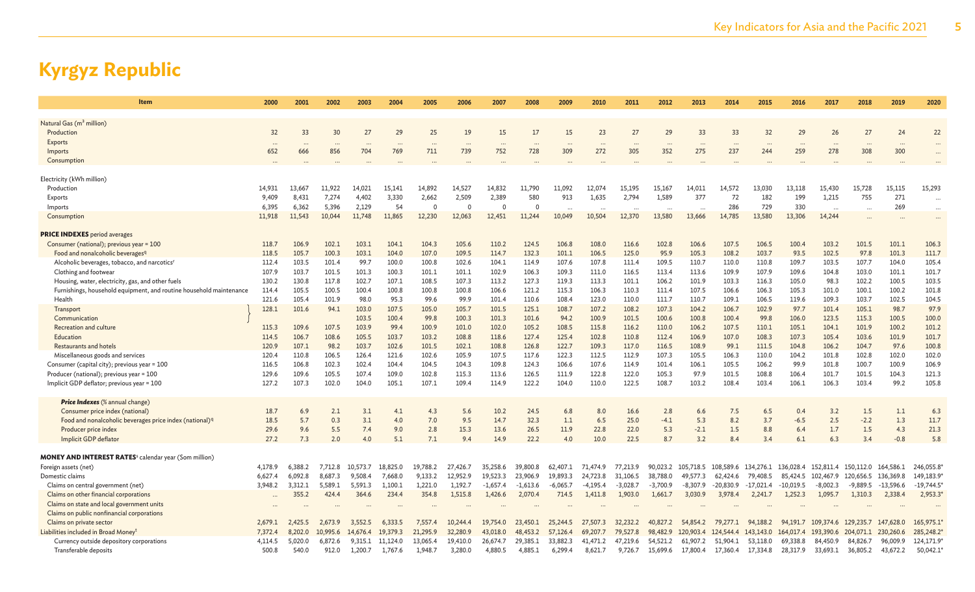| <b>Item</b>                                                              | 2000    | 2001    | 2002     | 2003     | 2004     | 2005     | 2006     | 2007       | 2008       | 2009       | 2010       | 2011       | 2012       | 2013               | 2014                | 2015        | 2016        | 2017       | 2018       | 2019        | 2020        |
|--------------------------------------------------------------------------|---------|---------|----------|----------|----------|----------|----------|------------|------------|------------|------------|------------|------------|--------------------|---------------------|-------------|-------------|------------|------------|-------------|-------------|
| Natural Gas (m <sup>3</sup> million)                                     |         |         |          |          |          |          |          |            |            |            |            |            |            |                    |                     |             |             |            |            |             |             |
| Production                                                               | 32      | 33      | 30       | 27       | 29       | 25       | 19       | 15         | 17         | 15         | 23         | 27         | 29         | 33                 | 33                  | 32          | 29          | 26         | 27         | 24          | 22          |
| <b>Exports</b>                                                           |         |         |          |          |          | $\ddots$ | $\ddots$ | $\cdots$   |            |            |            |            |            |                    |                     |             |             |            |            |             |             |
| Imports                                                                  | 652     | 666     | 856      | 704      | 769      | 711      | 739      | 752        | 728        | 309        | 272        | 305        | 352        | 275                | 237                 | 244         | 259         | 278        | 308        | 300         |             |
| Consumption                                                              |         |         |          |          |          |          |          |            |            |            |            |            |            |                    |                     |             |             |            |            |             |             |
| Electricity (kWh million)                                                |         |         |          |          |          |          |          |            |            |            |            |            |            |                    |                     |             |             |            |            |             |             |
| Production                                                               | 14,931  | 13,667  | 11,922   | 14,021   | 15,141   | 14,892   | 14,527   | 14,832     | 11,790     | 11,092     | 12,074     | 15,195     | 15,167     | 14,011             | 14,572              | 13,030      | 13,118      | 15,430     | 15,728     | 15,115      | 15,293      |
| Exports                                                                  | 9,409   | 8,431   | 7,274    | 4,402    | 3,330    | 2,662    | 2,509    | 2,389      | 580        | 913        | 1,635      | 2,794      | 1,589      | 377                | 72                  | 182         | 199         | 1,215      | 755        | 271         | .           |
| Imports                                                                  | 6,395   | 6,362   | 5,396    | 2,129    | 54       | $\Omega$ | $\Omega$ | $\Omega$   | $\Omega$   |            | $\cdots$   | $\ddotsc$  |            | $\ddotsc$          | 286                 | 729         | 330         | $\ddotsc$  | $\ddotsc$  | 269         | $\cdots$    |
| Consumption                                                              | 11,918  | 11,543  | 10,044   | 11,748   | 11,865   | 12,230   | 12,063   | 12,451     | 11,244     | 10,049     | 10,504     | 12,370     | 13,580     | 13,666             | 14,785              | 13,580      | 13,306      | 14,244     | $\ddotsc$  |             | $\cdots$    |
| <b>PRICE INDEXES</b> period averages                                     |         |         |          |          |          |          |          |            |            |            |            |            |            |                    |                     |             |             |            |            |             |             |
| Consumer (national); previous year = 100                                 | 118.7   | 106.9   | 102.1    | 103.1    | 104.1    | 104.3    | 105.6    | 110.2      | 124.5      | 106.8      | 108.0      | 116.6      | 102.8      | 106.6              | 107.5               | 106.5       | 100.4       | 103.2      | 101.5      | 101.1       | 106.3       |
| Food and nonalcoholic beverages <sup>q</sup>                             | 118.5   | 105.7   | 100.3    | 103.1    | 104.0    | 107.0    | 109.5    | 114.7      | 132.3      | 101.1      | 106.5      | 125.0      | 95.9       | 105.3              | 108.2               | 103.7       | 93.5        | 102.5      | 97.8       | 101.3       | 111.7       |
| Alcoholic beverages, tobacco, and narcotics <sup>r</sup>                 | 112.4   | 103.5   | 101.4    | 99.7     | 100.0    | 100.8    | 102.6    | 104.1      | 114.9      | 107.6      | 107.8      | 111.4      | 109.5      | 110.7              | 110.0               | 110.8       | 109.7       | 103.5      | 107.7      | 104.0       | 105.4       |
| Clothing and footwear                                                    | 107.9   | 103.7   | 101.5    | 101.3    | 100.3    | 101.1    | 101.1    | 102.9      | 106.3      | 109.3      | 111.0      | 116.5      | 113.4      | 113.6              | 109.9               | 107.9       | 109.6       | 104.8      | 103.0      | 101.1       | 101.7       |
| Housing, water, electricity, gas, and other fuels                        | 130.2   | 130.8   | 117.8    | 102.7    | 107.1    | 108.5    | 107.3    | 113.2      | 127.3      | 119.3      | 113.3      | 101.1      | 106.2      | 101.9              | 103.3               | 116.3       | 105.0       | 98.3       | 102.2      | 100.5       | 103.5       |
| Furnishings, household equipment, and routine household maintenance      | 114.4   | 105.5   | 100.5    | 100.4    | 100.8    | 100.8    | 100.8    | 106.6      | 121.2      | 115.3      | 106.3      | 110.3      | 111.4      | 107.5              | 106.6               | 106.3       | 105.3       | 101.0      | 100.1      | 100.2       | 101.8       |
| Health                                                                   | 121.6   | 105.4   | 101.9    | 98.0     | 95.3     | 99.6     | 99.9     | 101.4      | 110.6      | 108.4      | 123.0      | 110.0      | 111.7      | 110.7              | 109.1               | 106.5       | 119.6       | 109.3      | 103.7      | 102.5       | 104.5       |
| Transport                                                                | 128.1   | 101.6   | 94.1     | 103.0    | 107.5    | 105.0    | 105.7    | 101.5      | 125.1      | 108.7      | 107.2      | 108.2      | 107.3      | 104.2              | 106.7               | 102.9       | 97.7        | 101.4      | 105.1      | 98.7        | 97.9        |
| Communication                                                            |         |         |          | 103.5    | 100.4    | 99.8     | 100.3    | 101.3      | 101.6      | 94.2       | 100.9      | 101.5      | 100.6      | 100.8              | 100.4               | 99.8        | 106.0       | 123.5      | 115.3      | 100.5       | 100.0       |
| Recreation and culture                                                   | 115.3   | 109.6   | 107.5    | 103.9    | 99.4     | 100.9    | 101.0    | 102.0      | 105.2      | 108.5      | 115.8      | 116.2      | 110.0      | 106.2              | 107.5               | 110.1       | 105.1       | 104.1      | 101.9      | 100.2       | 101.2       |
| Education                                                                | 114.5   | 106.7   | 108.6    | 105.5    | 103.7    | 103.2    | 108.8    | 118.6      | 127.4      | 125.4      | 102.8      | 110.8      | 112.4      | 106.9              | 107.0               | 108.3       | 107.3       | 105.4      | 103.6      | 101.9       | 101.7       |
| <b>Restaurants and hotels</b>                                            | 120.9   | 107.1   | 98.2     | 103.7    | 102.6    | 101.5    | 102.1    | 108.8      | 126.8      | 122.7      | 109.3      | 117.0      | 116.5      | 108.9              | 99.1                | 111.5       | 104.8       | 106.2      | 104.7      | 97.6        | 100.8       |
| Miscellaneous goods and services                                         | 120.4   | 110.8   | 106.5    | 126.4    | 121.6    | 102.6    | 105.9    | 107.5      | 117.6      | 122.3      | 112.5      | 112.9      | 107.3      | 105.5              | 106.3               | 110.0       | 104.2       | 101.8      | 102.8      | 102.0       | 102.0       |
| Consumer (capital city); previous year = 100                             | 116.5   | 106.8   | 102.3    | 102.4    | 104.4    | 104.5    | 104.3    | 109.8      | 124.3      | 106.6      | 107.6      | 114.9      | 101.4      | 106.1              | 105.5               | 106.2       | 99.9        | 101.8      | 100.7      | 100.9       | 106.9       |
| Producer (national); previous year = 100                                 | 129.6   | 109.6   | 105.5    | 107.4    | 109.0    | 102.8    | 115.3    | 113.6      | 126.5      | 111.9      | 122.8      | 122.0      | 105.3      | 97.9               | 101.5               | 108.8       | 106.4       | 101.7      | 101.5      | 104.3       | 121.3       |
| Implicit GDP deflator; previous year = 100                               | 127.2   | 107.3   | 102.0    | 104.0    | 105.1    | 107.1    | 109.4    | 114.9      | 122.2      | 104.0      | 110.0      | 122.5      | 108.7      | 103.2              | 108.4               | 103.4       | 106.1       | 106.3      | 103.4      | 99.2        | 105.8       |
| <b>Price Indexes</b> (% annual change)                                   |         |         |          |          |          |          |          |            |            |            |            |            |            |                    |                     |             |             |            |            |             |             |
| Consumer price index (national)                                          | 18.7    | 6.9     | 2.1      | 3.1      | 4.1      | 4.3      | 5.6      | 10.2       | 24.5       | 6.8        | 8.0        | 16.6       | 2.8        | 6.6                | 7.5                 | 6.5         | 0.4         | 3.2        | 1.5        | 1.1         | 6.3         |
| Food and nonalcoholic beverages price index (national) <sup>q</sup>      | 18.5    | 5.7     | 0.3      | 3.1      | 4.0      | 7.0      | 9.5      | 14.7       | 32.3       | 1.1        | 6.5        | 25.0       | $-4.1$     | 5.3                | 8.2                 | 3.7         | $-6.5$      | 2.5        | $-2.2$     | 1.3         | 11.7        |
| Producer price index                                                     | 29.6    | 9.6     | 5.5      | 7.4      | 9.0      | 2.8      | 15.3     | 13.6       | 26.5       | 11.9       | 22.8       | 22.0       | 5.3        | $-2.1$             | 1.5                 | 8.8         | 6.4         | 1.7        | 1.5        | 4.3         | 21.3        |
| Implicit GDP deflator                                                    | 27.2    | 7.3     | 2.0      | 4.0      | 5.1      | 7.1      | 9.4      | 14.9       | 22.2       | 4.0        | 10.0       | 22.5       | 8.7        | 3.2                | 8.4                 | 3.4         | 6.1         | 6.3        | 3.4        | $-0.8$      | 5.8         |
| <b>MONEY AND INTEREST RATES</b> <sup>s</sup> calendar year (Som million) |         |         |          |          |          |          |          |            |            |            |            |            |            |                    |                     |             |             |            |            |             |             |
| Foreign assets (net)                                                     | 4,178.9 | 6,388.2 | 7,712.8  | 10,573.7 | 18,825.0 | 19,788.2 | 27,426.7 | 35,258.6   | 39,800.8   | 62,407.1   | 71,474.9   | 77,213.9   |            | 90,023.2 105,718.5 | 108,589.6           | 134,276.1   | 136,028.4   | 152,811.4  | 150,112.0  | 164,586.1   | 246,055.8   |
| Domestic claims                                                          | 6,627.4 | 6,092.8 | 8,687.3  | 9,508.4  | 7,668.0  | 9,133.2  | 12,952.9 | 19,523.3   | 23,906.9   | 19,893.3   | 24,723.8   | 31,106.5   | 38,788.0   | 49,577.3           | 62,424.6            | 79,408.5    | 85,424.5    | 102,467.9  | 120,656.5  | 136,369.8   | 149,183.9*  |
| Claims on central government (net)                                       | 3.948.2 | 3.312.1 | 5.589.1  | 5,591.3  | 1.100.1  | 1,221.0  | 1,192.7  | $-1,657.4$ | $-1,613.6$ | $-6,065.7$ | $-4,195.4$ | $-3,028.7$ | $-3,700.9$ | $-8,307.9$         | $-20.830.9$         | $-17,021.4$ | $-10,019.5$ | $-8,002.3$ | $-9,889.5$ | $-13,596.6$ | $-19,744.5$ |
| Claims on other financial corporations                                   |         | 355.2   | 424.4    | 364.6    | 234.4    | 354.8    | 1,515.8  | 1,426.6    | 2,070.4    | 714.5      | 1,411.8    | 1,903.0    | 1,661.7    | 3,030.9            | 3,978.4             | 2,241.7     | 1,252.3     | 1,095.7    | 1,310.3    | 2,338.4     | 2,953.3     |
| Claims on state and local government units                               |         |         |          |          |          |          |          |            |            |            |            |            |            |                    |                     |             |             |            |            |             |             |
| Claims on public nonfinancial corporations                               |         |         |          |          |          |          |          |            |            |            |            |            |            |                    |                     |             |             |            |            |             |             |
| Claims on private sector                                                 | 2.679.1 | 2.425.5 | 2.673.9  | 3.552.5  | 6,333.5  | 7,557.4  | 10,244.4 | 19,754.0   | 23,450.1   | 25,244.5   | 27,507.3   | 32,232.2   | 40,827.2   | 54.854.2           | 79,277.1            | 94,188.2    | 94.191.7    | 109,374.6  | 129,235.7  | 147,628.0   | 165,975.1   |
| Liabilities included in Broad Money <sup>t</sup>                         | 7,372.4 | 8,202.0 | 10,995.6 | 14,676.4 | 19,379.3 | 21,295.9 | 32,280.9 | 43,018.0   | 48,453.2   | 57,126.4   | 69,207.7   | 79,527.8   | 98,482.9   |                    | 120,903.4 124,544.4 | 143,143.0   | 164,017.4   | 193,390.6  | 204,071.1  | 230,260.6   | 285,248.2*  |
| Currency outside depository corporations                                 | 4,114.5 | 5,020.0 | 6,872.6  | 9,315.1  | 11,124.0 | 13,065.4 | 19,410.0 | 26,674.7   | 29,385.1   | 33,882.3   | 41,471.2   | 47,219.6   | 54,521.2   | 61,907.2           | 51,904.1            | 53,118.0    | 69,338.8    | 84,450.9   | 84,826.7   | 96,009.9    | 124,171.9*  |
| Transferable deposits                                                    | 500.8   | 540.0   | 912.0    | 1.200.7  | 1.767.6  | 1.948.7  | 3,280.0  | 4.880.5    | 4.885.1    | 6,299.4    | 8,621.7    | 9,726.7    | 15,699.6   | 17,800.4           | 17,360.4            | 17,334.8    | 28,317.9    | 33,693.1   | 36,805.2   | 43,672.2    | 50,042.1    |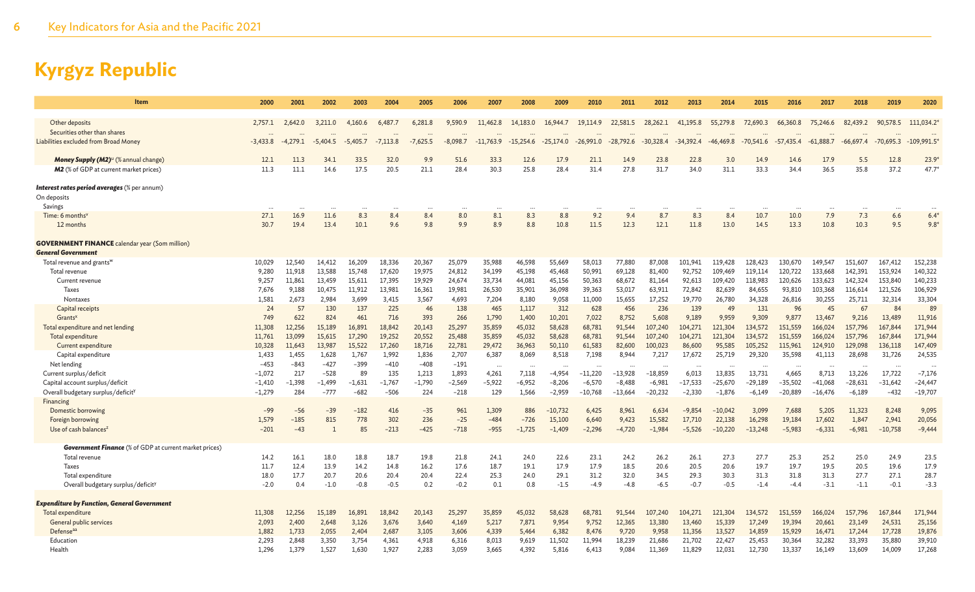| Item                                                          | 2000          | 2001          | 2002          | 2003          | 2004          | 2005          | 2006          | 2007            | 2008             | 2009             | 2010            | 2011            | 2012             | 2013             | 2014             | 2015             | 2016             | 2017              | 2018             | 2019              | 2020              |
|---------------------------------------------------------------|---------------|---------------|---------------|---------------|---------------|---------------|---------------|-----------------|------------------|------------------|-----------------|-----------------|------------------|------------------|------------------|------------------|------------------|-------------------|------------------|-------------------|-------------------|
|                                                               |               |               |               |               |               |               |               |                 |                  |                  |                 |                 |                  |                  |                  |                  |                  |                   |                  |                   |                   |
| Other deposits<br>Securities other than shares                | 2,757.1       | 2,642.0       | 3,211.0       | 4,160.6       | 6,487.        | 6,281.8       | 9,590.9       | 11,462.8        | 14,183.0         | 16,944.7         | 19,114.9        | 22,581.5        | 28,262.1         | 41,195.8         | 55,279.8         | 72,690.3         | 66,360.8         | 75,246.6          | 82,439.2         | 90,578.5          | 111,034.2         |
| Liabilities excluded from Broad Money                         | $-3,433.8$    | $-4,279.1$    | $-5,404.5$    | $-5,405.7$    | $-7,113.8$    | $-7,625.5$    | $-8,098.7$    | $-11,763.9$     | $-15,254.6$      | $-25,174.0$      | $-26,991.0$     | $-28,792.6$     | $-30,328.4$      | $-34,392.4$      | $-46,469.8$      | $-70,541.6$      | $-57,435.4$      | $-61,888.7$       | $-66,697.4$      | $-70,695.3$       | $-109,991.5$      |
|                                                               |               |               |               |               |               |               |               |                 |                  |                  |                 |                 |                  |                  |                  |                  |                  |                   |                  |                   |                   |
| Money Supply (M2) <sup>u</sup> (% annual change)              | 12.1          | 11.3          | 34.1          | 33.5          | 32.0          | 9.9           | 51.6          | 33.3            | 12.6             | 17.9             | 21.1            | 14.9            | 23.8             | 22.8             | 3.0              | 14.9             | 14.6             | 17.9              | 5.5              | 12.8              | 23.9              |
| <b>M2</b> (% of GDP at current market prices)                 | 11.3          | 11.1          | 14.6          | 17.5          | 20.5          | 21.1          | 28.4          | 30.3            | 25.8             | 28.4             | 31.4            | 27.8            | 31.7             | 34.0             | 31.1             | 33.3             | 34.4             | 36.5              | 35.8             | 37.2              | 47.7              |
| <b>Interest rates period averages</b> (% per annum)           |               |               |               |               |               |               |               |                 |                  |                  |                 |                 |                  |                  |                  |                  |                  |                   |                  |                   |                   |
| On deposits                                                   |               |               |               |               |               |               |               |                 |                  |                  |                 |                 |                  |                  |                  |                  |                  |                   |                  |                   |                   |
| Savings                                                       |               |               |               |               |               |               |               |                 |                  |                  |                 |                 |                  |                  |                  |                  |                  |                   |                  |                   |                   |
| Time: 6 months <sup>v</sup>                                   | 27.1          | 16.9          | 11.6          | 8.3           | 8.4           | 8.4           | 8.0           | 8.1             | 8.3              | 8.8              | 9.2             | 9.4             | 8.7              | 8.3              | 8.4              | 10.7             | 10.0             | 7.9               | 7.3              | 6.6               | 6.4               |
| 12 months                                                     | 30.7          | 19.4          | 13.4          | 10.1          | 9.6           | 9.8           | 9.9           | 8.9             | 8.8              | 10.8             | 11.5            | 12.3            | 12.1             | 11.8             | 13.0             | 14.5             | 13.3             | 10.8              | 10.3             | 9.5               | $9.8*$            |
| <b>GOVERNMENT FINANCE</b> calendar year (Som million)         |               |               |               |               |               |               |               |                 |                  |                  |                 |                 |                  |                  |                  |                  |                  |                   |                  |                   |                   |
| <b>General Government</b>                                     |               |               |               |               |               |               |               |                 |                  |                  |                 |                 |                  |                  |                  |                  |                  |                   |                  |                   |                   |
| Total revenue and grants <sup>w</sup>                         | 10,029        | 12,540        | 14,412        | 16,209        | 18,336        | 20,367        | 25,079        | 35,988          | 46,598           | 55,669           | 58,013          | 77,880          | 87,008           | 101.941          | 119,428          | 128,423          | 130,670          | 149,547           | 151,607          | 167,412           | 152,238           |
| Total revenue                                                 | 9,280         | 11,918        | 13,588        | 15,748        | 17,620        | 19,975        | 24,812        | 34,199          | 45,198           | 45,468           | 50,991          | 69,128          | 81,400           | 92,752           | 109,469          | 119,114          | 120,722          | 133,668           | 142,391          | 153,924           | 140,322           |
| Current revenue                                               | 9.257         | 11.861        | 13.459        | 15,611        | 17,395        | 19,929        | 24,674        | 33.734          | 44,081           | 45,156           | 50,363          | 68,672          | 81.164           | 92,613           | 109,420          | 118,983          | 120,626          | 133,623           | 142,324          | 153,840           | 140,233           |
| Taxes                                                         | 7,676         | 9,188         | 10,475        | 11,912        | 13,981        | 16,361        | 19,981        | 26,530          | 35,901           | 36,098           | 39,363          | 53,017          | 63,911           | 72,842           | 82,639           | 84,655           | 93,810           | 103,368           | 116,614          | 121,526           | 106,929           |
| Nontaxes                                                      | 1,581         | 2,673         | 2,984         | 3,699         | 3,415         | 3,567         | 4,693         | 7,204           | 8,180            | 9,058            | 11,000          | 15,655          | 17,252           | 19,770           | 26,780           | 34,328           | 26,816           | 30,255            | 25,711           | 32,314            | 33,304            |
| Capital receipts                                              | 24            | 57            | 130           | 137           | 225           | 46            | 138           | 465             | 1,117            | 312              | 628             | 456             | 236              | 139              | 49               | 131              | 96               | 45                | 67               | 84                | 89                |
| Grants <sup>x</sup>                                           | 749<br>11,308 | 622<br>12,256 | 824<br>15,189 | 461<br>16,891 | 716<br>18.842 | 393<br>20,143 | 266<br>25,297 | 1,790<br>35,859 | 1,400            | 10,201<br>58,628 | 7,022<br>68,781 | 8,752<br>91.544 | 5,608<br>107.240 | 9,189<br>104,271 | 9.959<br>121.304 | 9,309<br>134,572 | 9,877<br>151,559 | 13,467<br>166,024 | 9,216<br>157,796 | 13,489<br>167,844 | 11,916<br>171,944 |
| Total expenditure and net lending<br>Total expenditure        | 11,761        | 13,099        | 15,615        | 17,290        | 19,252        | 20,552        | 25,488        | 35,859          | 45,032<br>45,032 | 58,628           | 68,781          | 91,544          | 107,240          | 104,271          | 121,304          | 134,572          | 151,559          | 166,024           | 157,796          | 167,844           | 171,944           |
| Current expenditure                                           | 10,328        | 11,643        | 13,987        | 15,522        | 17,260        | 18,716        | 22,781        | 29,472          | 36,963           | 50,110           | 61,583          | 82,600          | 100,023          | 86,600           | 95,585           | 105,252          | 115,961          | 124,910           | 129,098          | 136,118           | 147,409           |
| Capital expenditure                                           | 1.433         | 1.455         | 1,628         | 1,767         | 1.992         | 1,836         | 2,707         | 6,387           | 8,069            | 8,518            | 7,198           | 8.944           | 7,217            | 17,672           | 25,719           | 29,320           | 35,598           | 41,113            | 28,698           | 31,726            | 24,535            |
| Net lending                                                   | $-453$        | $-843$        | $-427$        | $-399$        | $-410$        | $-408$        | $-191$        |                 |                  |                  |                 |                 |                  |                  |                  |                  |                  |                   |                  |                   |                   |
| Current surplus/deficit                                       | $-1.072$      | 217           | $-528$        | 89            | 135           | 1,213         | 1,893         | 4,261           | 7,118            | $-4,954$         | $-11,220$       | $-13,928$       | $-18,859$        | 6,013            | 13,835           | 13,731           | 4,665            | 8,713             | 13,226           | 17,722            | $-7,176$          |
| Capital account surplus/deficit                               | $-1,410$      | $-1,398$      | $-1,499$      | $-1,631$      | $-1,767$      | $-1,790$      | $-2,569$      | $-5,922$        | $-6,952$         | $-8,206$         | $-6,570$        | $-8,488$        | $-6,981$         | $-17,533$        | $-25,670$        | $-29,189$        | $-35,502$        | $-41,068$         | $-28,631$        | $-31,642$         | $-24,447$         |
| Overall budgetary surplus/deficit <sup>y</sup>                | $-1,279$      | 284           | $-777$        | $-682$        | $-506$        | 224           | $-218$        | 129             | 1,566            | $-2,959$         | $-10,768$       | $-13,664$       | $-20,232$        | $-2,330$         | $-1,876$         | $-6,149$         | $-20,889$        | $-16,476$         | $-6,189$         | $-432$            | $-19,707$         |
| Financing                                                     |               |               |               |               |               |               |               |                 |                  |                  |                 |                 |                  |                  |                  |                  |                  |                   |                  |                   |                   |
| Domestic borrowing                                            | $-99$         | $-56$         | $-39$         | $-182$        | 416           | $-35$         | 961           | 1,309           | 886              | $-10,732$        | 6,425           | 8,961           | 6,634            | $-9,854$         | $-10.042$        | 3,099            | 7,688            | 5,205             | 11,323           | 8,248             | 9,095             |
| Foreign borrowing                                             | 1.579         | $-185$        | 815           | 778           | 302           | 236           | $-25$         | $-484$          | $-726$           | 15,100           | 6,640           | 9,423           | 15,582           | 17,710           | 22,138           | 16,298           | 19,184           | 17,602            | 1,847            | 2,941             | 20,056            |
| Use of cash balances <sup>2</sup>                             | $-201$        | $-43$         |               | 85            | $-213$        | $-425$        | $-718$        | $-955$          | $-1,725$         | $-1,409$         | $-2,296$        | $-4,720$        | $-1,984$         | $-5,526$         | $-10,220$        | $-13,248$        | $-5,983$         | $-6,331$          | $-6,981$         | $-10,758$         | $-9,444$          |
| <b>Government Finance</b> (% of GDP at current market prices) |               |               |               |               |               |               |               |                 |                  |                  |                 |                 |                  |                  |                  |                  |                  |                   |                  |                   |                   |
| Total revenue                                                 | 14.2          | 16.1          | 18.0          | 18.8          | 18.7          | 19.8          | 21.8          | 24.1            | 24.0             | 22.6             | 23.1            | 24.2            | 26.2             | 26.1             | 27.3             | 27.7             | 25.3             | 25.2              | 25.0             | 24.9              | 23.5              |
| Taxes                                                         | 11.7          | 12.4          | 13.9          | 14.2          | 14.8          | 16.2          | 17.6          | 18.7            | 19.1             | 17.9             | 17.9            | 18.5            | 20.6             | 20.5             | 20.6             | 19.7             | 19.7             | 19.5              | 20.5             | 19.6              | 17.9              |
| Total expenditure                                             | 18.0          | 17.7          | 20.7          | 20.6          | 20.4          | 20.4          | 22.4          | 25.3            | 24.0             | 29.1             | 31.2            | 32.0            | 34.5             | 29.3             | 30.3             | 31.3             | 31.8             | 31.3              | 27.7             | 27.1              | 28.7              |
| Overall budgetary surplus/deficit <sup>y</sup>                | $-2.0$        | 0.4           | $-1.0$        | $-0.8$        | $-0.5$        | 0.2           | $-0.2$        | 0.1             | 0.8              | $-1.5$           | $-4.9$          | $-4.8$          | $-6.5$           | $-0.7$           | $-0.5$           | $-1.4$           | $-4.4$           | $-3.1$            | $-1.1$           | $-0.1$            | $-3.3$            |
| <b>Expenditure by Function, General Government</b>            |               |               |               |               |               |               |               |                 |                  |                  |                 |                 |                  |                  |                  |                  |                  |                   |                  |                   |                   |
| Total expenditure                                             | 11,308        | 12.256        | 15.189        | 16,891        | 18.842        | 20,143        | 25.297        | 35,859          | 45,032           | 58.628           | 68,781          | 91.544          | 107.240          | 104,271          | 121,304          | 134,572          | 151,559          | 166,024           | 157,796          | 167,844           | 171,944           |
| General public services                                       | 2,093         | 2,400         | 2,648         | 3,126         | 3,676         | 3,640         | 4,169         | 5,217           | 7,871            | 9,954            | 9,752           | 12,365          | 13,380           | 13,460           | 15,339           | 17,249           | 19,394           | 20,661            | 23,149           | 24,531            | 25,156            |
| Defenseaa                                                     | 1,882         | 1,733         | 2,055         | 2,404         | 2,687         | 3,105         | 3,606         | 4,339           | 5,464            | 6,382            | 8,476           | 9,720           | 9,958            | 11,356           | 13,527           | 14,859           | 15,929           | 16,471            | 17,244           | 17,728            | 19,876            |
| Education                                                     | 2,293         | 2,848         | 3,350         | 3,754         | 4,361         | 4,918         | 6,316         | 8,013           | 9,619            | 11,502           | 11,994          | 18,239          | 21,686           | 21,702           | 22,427           | 25,453           | 30,364           | 32,282            | 33,393           | 35,880            | 39,910            |
| Health                                                        | 1,296         | 1,379         | 1,527         | 1,630         | 1,927         | 2,283         | 3,059         | 3,665           | 4,392            | 5,816            | 6,413           | 9,084           | 11,369           | 11,829           | 12,031           | 12,730           | 13,337           | 16,149            | 13,609           | 14,009            | 17,268            |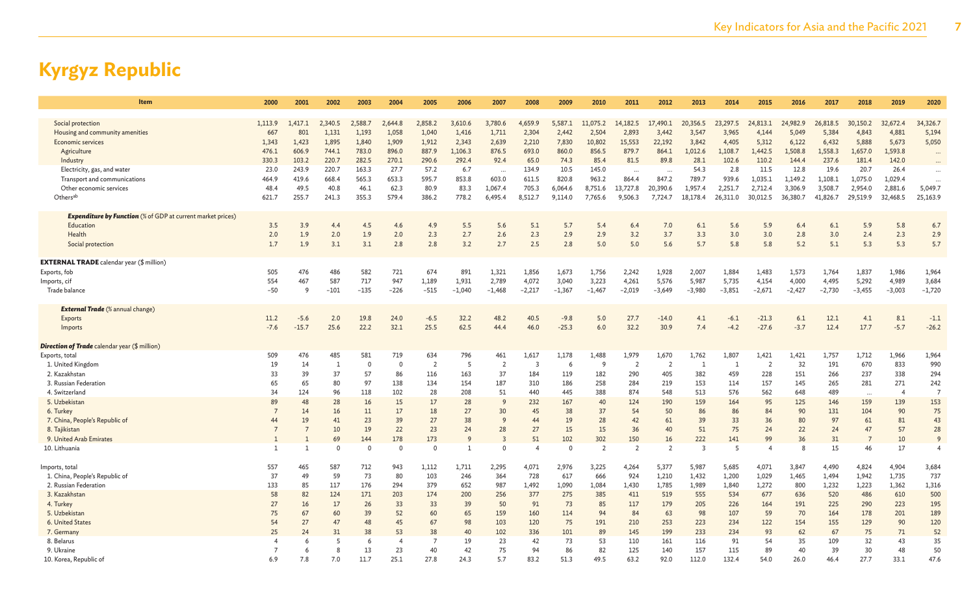| Item                                                               | 2000                     | 2001           | 2002           | 2003         | 2004           | 2005           | 2006         | 2007           | 2008           | 2009              | 2010           | 2011           | 2012            | 2013           | 2014           | 2015               | 2016     | 2017         | 2018                 | 2019           | 2020           |
|--------------------------------------------------------------------|--------------------------|----------------|----------------|--------------|----------------|----------------|--------------|----------------|----------------|-------------------|----------------|----------------|-----------------|----------------|----------------|--------------------|----------|--------------|----------------------|----------------|----------------|
|                                                                    |                          |                |                |              |                |                |              |                |                |                   |                |                |                 |                |                |                    |          |              |                      |                |                |
| Social protection                                                  | 1,113.9                  | 1.417.1        | 2,340.5        | 2,588.7      | 2.644.8        | 2,858.2        | 3,610.6      | 3,780.6        | 4,659.9        | 5,587.1           | 11,075.2       | 14,182.5       | 17,490.1        | 20,356.5       | 23,297.5       | 24,813.1           | 24,982.9 | 26,818.5     | 30,150.2             | 32,672.4       | 34,326.7       |
| Housing and community amenities                                    | 667                      | 801            | 1,131          | 1,193        | 1,058          | 1,040          | 1,416        | 1,711          | 2,304          | 2,442             | 2,504          | 2,893          | 3,442           | 3,547          | 3,965          | 4,144              | 5,049    | 5,384        | 4,843                | 4,881          | 5,194          |
| Economic services                                                  | 1,343                    | 1,423          | 1,895          | 1,840        | 1,909          | 1,912          | 2,343        | 2,639          | 2,210          | 7,830             | 10,802         | 15,553         | 22,192          | 3,842          | 4,405          | 5,312              | 6,122    | 6,432        | 5,888                | 5,673          | 5,050          |
| Agriculture                                                        | 476.1                    | 606.9          | 744.1          | 783.0        | 896.0          | 887.9          | 1,106.3      | 876.5          | 693.0          | 860.0             | 856.5          | 879.7          | 864.1           | 1,012.6        | 1,108.7        | 1,442.5            | 1,508.8  | 1,558.3      | 1,657.0              | 1,593.8        | $\cdots$       |
| Industry                                                           | 330.3                    | 103.2          | 220.7          | 282.5        | 270.1          | 290.6          | 292.4        | 92.4           | 65.0           | 74.3              | 85.4           | 81.5           | 89.8            | 28.1           | 102.6          | 110.2              | 144.4    | 237.6        | 181.4                | 142.0          |                |
| Electricity, gas, and water                                        | 23.0                     | 243.9          | 220.7          | 163.3        | 27.7           | 57.2           | 6.7          | $\cdots$       | 134.9          | 10.5              | 145.0          | $\ddotsc$      |                 | 54.3           | 2.8            | 11.5               | 12.8     | 19.6         | 20.7                 | 26.4           | $\cdots$       |
| Transport and communications                                       | 464.9                    | 419.6          | 668.4          | 565.3        | 653.3          | 595.7          | 853.8        | 603.0          | 611.5          | 820.8             | 963.2          | 864.4          | 847.2           | 789.7          | 939.6          | 1,035.1            | 1.149.2  | 1,108.1      | 1,075.0              | 1,029.4        | $\ddotsc$      |
| Other economic services                                            | 48.4                     | 49.5           | 40.8           | 46.1         | 62.3           | 80.9           | 83.3         | 1,067.4        | 705.3          | 6,064.6           | 8,751.6        | 13,727.8       | 20,390.6        | 1,957.4        | 2,251.7        | 2,712.4            | 3,306.9  | 3,508.7      | 2,954.0              | 2,881.6        | 5,049.7        |
| Others <sup>ab</sup>                                               | 621.7                    | 255.7          | 241.3          | 355.3        | 579.4          | 386.2          | 778.2        | 6,495.4        | 8,512.7        | 9,114.0           | 7,765.6        | 9,506.3        | 7,724.7         | 18,178.4       | 26,311.0       | 30,012.5           | 36,380.7 | 41,826.7     | 29,519.9             | 32,468.5       | 25,163.9       |
| <b>Expenditure by Function</b> (% of GDP at current market prices) |                          |                |                |              |                |                |              |                |                |                   |                |                |                 |                |                |                    |          |              |                      |                |                |
| Education                                                          | 3.5                      | 3.9            | 4.4            | 4.5          | 4.6            | 4.9            | 5.5          | 5.6            | 5.1            | 5.7               | 5.4            | 6.4            | 7.0             | 6.1            | 5.6            | 5.9                | 6.4      | 6.1          | 5.9                  | 5.8            | 6.7            |
| Health                                                             | 2.0                      | 1.9            | 2.0            | 1.9          | 2.0            | 2.3            | 2.7          | 2.6            | 2.3            | 2.9               | 2.9            | 3.2            | 3.7             | 3.3            | 3.0            | 3.0                | 2.8      | 3.0          | 2.4                  | 2.3            | 2.9            |
| Social protection                                                  | 1.7                      | 1.9            | 3.1            | 3.1          | 2.8            | 2.8            | 3.2          | 2.7            | 2.5            | 2.8               | 5.0            | 5.0            | 5.6             | 5.7            | 5.8            | 5.8                | 5.2      | 5.1          | 5.3                  | 5.3            | 5.7            |
|                                                                    |                          |                |                |              |                |                |              |                |                |                   |                |                |                 |                |                |                    |          |              |                      |                |                |
| <b>EXTERNAL TRADE</b> calendar year (\$ million)                   |                          |                |                |              |                |                |              |                |                |                   |                |                |                 |                |                |                    |          |              |                      |                |                |
| Exports, fob                                                       | 505                      | 476            | 486            | 582          | 721            | 674            | 891          | 1,321          | 1,856          | 1,673             | 1,756          | 2,242          | 1,928           | 2,007          | 1,884          | 1,483              | 1,573    | 1,764        | 1,837                | 1,986          | 1,964          |
| Imports, cif                                                       | 554                      | 467            | 587            | 717          | 947            | 1,189          | 1,931        | 2,789          | 4,072          | 3,040             | 3,223          | 4,261          | 5,576           | 5,987          | 5,735          | 4,154              | 4,000    | 4,495        | 5,292                | 4,989          | 3,684          |
| Trade balance                                                      | $-50$                    | 9              | $-101$         | $-135$       | $-226$         | $-515$         | $-1.040$     | $-1,468$       | $-2,217$       | $-1,367$          | $-1.467$       | $-2,019$       | $-3,649$        | $-3,980$       | $-3.851$       | $-2,671$           | $-2,427$ | $-2,730$     | $-3,455$             | $-3,003$       | $-1,720$       |
|                                                                    |                          |                |                |              |                |                |              |                |                |                   |                |                |                 |                |                |                    |          |              |                      |                |                |
| <b>External Trade</b> (% annual change)                            |                          |                |                |              |                |                |              |                |                |                   |                |                |                 |                |                |                    |          |              |                      |                |                |
| Exports                                                            | 11.2                     | $-5.6$         | 2.0            | 19.8<br>22.2 | 24.0<br>32.1   | $-6.5$<br>25.5 | 32.2<br>62.5 | 48.2           | 40.5           | $-9.8$<br>$-25.3$ | 5.0            | 27.7<br>32.2   | $-14.0$<br>30.9 | 4.1            | $-6.1$         | $-21.3$<br>$-27.6$ | 6.1      | 12.1<br>12.4 | 4.1                  | 8.1            | $-1.1$         |
| Imports                                                            | $-7.6$                   | $-15.7$        | 25.6           |              |                |                |              | 44.4           | 46.0           |                   | 6.0            |                |                 | 7.4            | $-4.2$         |                    | $-3.7$   |              | 17.7                 | $-5.7$         | $-26.2$        |
| <b>Direction of Trade</b> calendar year (\$ million)               |                          |                |                |              |                |                |              |                |                |                   |                |                |                 |                |                |                    |          |              |                      |                |                |
| Exports, total                                                     | 509                      | 476            | 485            | 581          | 719            | 634            | 796          | 461            | 1.617          | 1,178             | 1,488          | 1.979          | 1.670           | 1,762          | 1.807          | 1.421              | 1.421    | 1.757        | 1,712                | 1.966          | 1,964          |
| 1. United Kingdom                                                  | 19                       | 14             | $\overline{1}$ | $\Omega$     | $\Omega$       | $\overline{2}$ | -5           | $\overline{2}$ | $\overline{3}$ | 6                 | 9              | $\overline{2}$ | $\overline{2}$  | $\mathbf{1}$   | $\overline{1}$ | $\overline{2}$     | 32       | 191          | 670                  | 833            | 990            |
| 2. Kazakhstan                                                      | 33                       | 39             | 37             | 57           | 86             | 116            | 163          | 37             | 184            | 119               | 182            | 290            | 405             | 382            | 459            | 228                | 151      | 266          | 237                  | 338            | 294            |
| 3. Russian Federation                                              | 65                       | 65             | 80             | 97           | 138            | 134            | 154          | 187            | 310            | 186               | 258            | 284            | 219             | 153            | 114            | 157                | 145      | 265          | 281                  | 271            | 242            |
| 4. Switzerland                                                     | 34                       | 124            | 96             | 118          | 102            | 28             | 208          | 51             | 440            | 445               | 388            | 874            | 548             | 513            | 576            | 562                | 648      | 489          | $\ddot{\phantom{a}}$ | $\overline{4}$ | 7              |
| 5. Uzbekistan                                                      | 89                       | 48             | 28             | 16           | 15             | 17             | 28           | 9              | 232            | 167               | 40             | 124            | 190             | 159            | 164            | 95                 | 125      | 146          | 159                  | 139            | 153            |
| 6. Turkey                                                          | 7                        | 14             | 16             | 11           | 17             | 18             | 27           | 30             | 45             | 38                | 37             | 54             | 50              | 86             | 86             | 84                 | 90       | 131          | 104                  | 90             | 75             |
| 7. China, People's Republic of                                     | 44                       | 19             | 41             | 23           | 39             | 27             | 38           | 9              | 44             | 19                | 28             | 42             | 61              | 39             | 33             | 36                 | 80       | 97           | 61                   | 81             | 43             |
| 8. Tajikistan                                                      | $\overline{7}$           | $\overline{7}$ | 10             | 19           | 22             | 23             | 24           | 28             | 27             | 15                | 15             | 36             | 40              | 51             | 75             | 24                 | 22       | 24           | 47                   | 57             | 28             |
| 9. United Arab Emirates                                            |                          |                | 69             | 144          | 178            | 173            | 9            | 3              | 51             | 102               | 302            | 150            | 16              | 222            | 141            | 99                 | 36       | 31           | $\overline{7}$       | 10             | 9              |
| 10. Lithuania                                                      | 1                        | $\overline{1}$ | $\Omega$       | $\Omega$     | $\Omega$       | $\Omega$       | $\mathbf{1}$ | $\Omega$       | $\Delta$       | $\Omega$          | $\overline{2}$ | $\overline{2}$ | $\overline{2}$  | $\overline{3}$ | 5              | $\overline{4}$     | 8        | 15           | 46                   | 17             | $\overline{4}$ |
| Imports, total                                                     | 557                      | 465            | 587            | 712          | 943            | 1,112          | 1,711        | 2,295          | 4,071          | 2,976             | 3,225          | 4,264          | 5,377           | 5,987          | 5,685          | 4,071              | 3,847    | 4,490        | 4,824                | 4,904          | 3,684          |
| 1. China, People's Republic of                                     | 37                       | 49             | 59             | 73           | 80             | 103            | 246          | 364            | 728            | 617               | 666            | 924            | 1,210           | 1,432          | 1,200          | 1,029              | 1,465    | 1,494        | 1,942                | 1,735          | 737            |
| 2. Russian Federation                                              | 133                      | 85             | 117            | 176          | 294            | 379            | 652          | 987            | 1,492          | 1,090             | 1,084          | 1,430          | 1,785           | 1,989          | 1,840          | 1,272              | 800      | 1,232        | 1,223                | 1,362          | 1,316          |
| 3. Kazakhstan                                                      | 58                       | 82             | 124            | 171          | 203            | 174            | 200          | 256            | 377            | 275               | 385            | 411            | 519             | 555            | 534            | 677                | 636      | 520          | 486                  | 610            | 500            |
| 4. Turkey                                                          | 27                       | 16             | 17             | 26           | 33             | 33             | 39           | 50             | 91             | 73                | 85             | 117            | 179             | 205            | 226            | 164                | 191      | 225          | 290                  | 223            | 195            |
| 5. Uzbekistan                                                      | 75                       | 67             | 60             | 39           | 52             | 60             | 65           | 159            | 160            | 114               | 94             | 84             | 63              | 98             | 107            | 59                 | 70       | 164          | 178                  | 201            | 189            |
| 6. United States                                                   | 54                       | 27             | 47             | 48           | 45             | 67             | 98           | 103            | 120            | 75                | 191            | 210            | 253             | 223            | 234            | 122                | 154      | 155          | 129                  | 90             | 120            |
| 7. German                                                          | 25                       | 24             | 31             | 38           | 53             | 38             | 40           | 102            | 336            | 101               | 89             | 145            | 199             | 233            | 234            | 93                 | 62       | 67           | 75                   | 71             | 52             |
| 8. Belarus                                                         | $\boldsymbol{\varDelta}$ | -6             | 5              | 6            | $\overline{A}$ | $\overline{7}$ | 19           | 23             | 42             | 73                | 53             | 110            | 161             | 116            | 91             | 54                 | 35       | 109          | 32                   | 43             | 35             |
| 9. Ukraine                                                         | 7                        | -6             | -8             | 13           | 23             | 40             | 42           | 75             | 94             | 86                | 82             | 125            | 140             | 157            | 115            | 89                 | 40       | 39           | 30                   | 48             | 50             |
| 10. Korea, Republic of                                             | 6.9                      | 7.8            | 7.0            | 11.7         | 25.1           | 27.8           | 24.3         | 5.7            | 83.2           | 51.3              | 49.5           | 63.2           | 92.0            | 112.0          | 132.4          | 54.0               | 26.0     | 46.4         | 27.7                 | 33.1           | 47.6           |
|                                                                    |                          |                |                |              |                |                |              |                |                |                   |                |                |                 |                |                |                    |          |              |                      |                |                |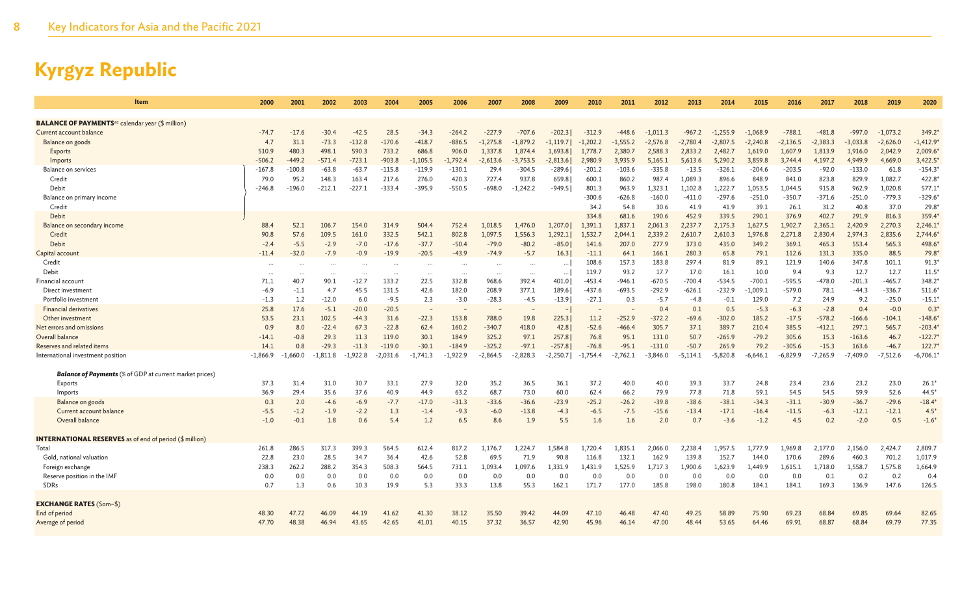| Item                                                               | 2000       | 2001     | 2002       | 2003       | 2004     | 2005       | 2006       | 2007       | 2008       | 2009       | 2010       | 2011       | 2012       | 2013       | 2014       | 2015       | 2016       | 2017       | 2018       | 2019       | 2020       |
|--------------------------------------------------------------------|------------|----------|------------|------------|----------|------------|------------|------------|------------|------------|------------|------------|------------|------------|------------|------------|------------|------------|------------|------------|------------|
| <b>BALANCE OF PAYMENTS<sup>ac</sup> calendar year (\$ million)</b> |            |          |            |            |          |            |            |            |            |            |            |            |            |            |            |            |            |            |            |            |            |
| Current account balance                                            | $-74.7$    | $-17.6$  | $-30.4$    | $-42.5$    | 28.5     | $-34.3$    | $-264.2$   | $-227.9$   | $-707.6$   | $-202.3$   | $-312.9$   | $-448.6$   | -1,011.3   | -967.2     | $-1,255.9$ | $-1,068.9$ | $-788.1$   | $-481.8$   | $-997.0$   | $-1,073.2$ | 349.2*     |
| Balance on goods                                                   | 4.7        | 31.1     | $-73.3$    | $-132.8$   | $-170.6$ | $-418.7$   | $-886.5$   | $-1,275.8$ | $-1,879.2$ | $-1,119.7$ | $-1,202.2$ | $-1,555.2$ | $-2,576.8$ | $-2,780.4$ | $-2,807.5$ | $-2,240.8$ | $-2,136.5$ | $-2,383.3$ | $-3,033.8$ | $-2,626.0$ | $-1,412.9$ |
| <b>Exports</b>                                                     | 510.9      | 480.3    | 498.1      | 590.3      | 733.2    | 686.8      | 906.0      | 1,337.8    | 1,874.4    | 1,693.8    | 1,778.7    | 2,380.7    | 2,588.3    | 2,833.2    | 2,482.7    | 1,619.0    | 1,607.9    | 1,813.9    | 1,916.0    | 2,042.9    | 2,009.6    |
| Imports                                                            | $-506.2$   | $-449.2$ | $-571.4$   | $-723.1$   | $-903.8$ | $-1,105.5$ | $-1,792.4$ | $-2,613.6$ | $-3,753.5$ | $-2,813.6$ | 2,980.9    | 3,935.9    | 5,165.1    | 5,613.6    | 5,290.2    | 3,859.8    | 3,744.4    | 4,197.2    | 4,949.9    | 4,669.0    | 3,422.5'   |
| Balance on services                                                | $-167.8$   | $-100.8$ | $-63.8$    | $-63.7$    | $-115.8$ | $-119.9$   | $-130.1$   | 29.4       | $-304.5$   | $-289.6$   | $-201.2$   | $-103.6$   | $-335.8$   | $-13.5$    | $-326.1$   | $-204.6$   | $-203.5$   | $-92.0$    | $-133.0$   | 61.8       | $-154.3'$  |
| Credit                                                             | 79.0       | 95.2     | 148.3      | 163.4      | 217.6    | 276.0      | 420.3      | 727.4      | 937.8      | 659.8      | 600.1      | 860.2      | 987.4      | 1,089.3    | 896.6      | 848.9      | 841.0      | 823.8      | 829.9      | 1,082.7    | 422.8      |
| Debit                                                              | $-246.8$   | $-196.0$ | -212.1     | $-227.1$   | $-333.4$ | $-395.9$   | $-550.5$   | -698.0     | $-1,242.2$ | -949.51    | 801.3      | 963.9      | 1,323.1    | 1,102.8    | 1,222.7    | 1,053.5    | 1,044.5    | 915.8      | 962.9      | 1,020.8    | 577.1      |
| Balance on primary income                                          |            |          |            |            |          |            |            |            |            |            | $-300.6$   | $-626.8$   | $-160.0$   | $-411.0$   | $-297.6$   | $-251.0$   | $-350.7$   | $-371.6$   | $-251.0$   | $-779.3$   | $-329.6$   |
| Credit                                                             |            |          |            |            |          |            |            |            |            |            | 34.2       | 54.8       | 30.6       | 41.9       | 41.9       | 39.1       | 26.1       | 31.2       | 40.8       | 37.0       | 29.8       |
| Debit                                                              |            |          |            |            |          |            |            |            |            |            | 334.8      | 681.6      | 190.6      | 452.9      | 339.5      | 290.1      | 376.9      | 402.7      | 291.9      | 816.3      | 359.4      |
| Balance on secondary income                                        | 88.4       | 52.1     | 106.7      | 154.0      | 314.9    | 504.4      | 752.4      | 1,018.5    | 1,476.0    | 1,207.0    | 1,391.1    | 1,837.1    | 2,061.3    | 2,237.7    | 2,175.3    | 1,627.5    | 1,902.7    | 2,365.1    | 2,420.9    | 2,270.3    | $2,246.1*$ |
| Credit                                                             | 90.8       | 57.6     | 109.5      | 161.0      | 332.5    | 542.1      | 802.8      | 1,097.5    | 1,556.3    | 1,292.1    | 1,532.7    | 2,044.1    | 2,339.2    | 2,610.7    | 2,610.3    | 1,976.8    | 2,271.8    | 2,830.4    | 2,974.3    | 2,835.6    | $2,744.6*$ |
| Debit                                                              | $-2.4$     | $-5.5$   | $-2.9$     | $-7.0$     | $-17.6$  | $-37.7$    | $-50.4$    | $-79.0$    | $-80.2$    | $-85.0$    | 141.6      | 207.0      | 277.9      | 373.0      | 435.0      | 349.2      | 369.1      | 465.3      | 553.4      | 565.3      | 498.6*     |
| Capital account                                                    | $-11.4$    | $-32.0$  | $-7.9$     | $-0.9$     | $-19.9$  | $-20.5$    | $-43.9$    | $-74.9$    | $-5.7$     | 16.3       | $-11.1$    | 64.1       | 166.1      | 280.3      | 65.8       | 79.1       | 112.6      | 131.3      | 335.0      | 88.5       | $79.8*$    |
| Credit                                                             | $\cdots$   | $\cdots$ | $\cdots$   | $\cdots$   | $\cdot$  | $\cdots$   | $\cdots$   | $\cdots$   |            |            | 108.6      | 157.3      | 183.8      | 297.4      | 81.9       | 89.1       | 121.9      | 140.6      | 347.8      | 101.1      | 91.3'      |
| Debit                                                              | $\cdots$   | $\cdots$ | $\cdots$   | $\cdots$   | $\cdots$ | $\cdots$   | $\cdots$   | $\cdots$   | $\cdots$   | $\cdots$   | 119.7      | 93.2       | 17.7       | 17.0       | 16.1       | 10.0       | 9.4        | 9.3        | 12.7       | 12.7       | $11.5*$    |
| Financial account                                                  | 71.1       | 40.7     | 90.1       | $-12.7$    | 133.2    | 22.5       | 332.8      | 968.6      | 392.4      | 401.0      | -453.4     | $-946.1$   | $-670.5$   | $-700.4$   | $-534.5$   | $-700.1$   | $-595.5$   | $-478.0$   | $-201.3$   | $-465.7$   | 348.2*     |
| Direct investment                                                  | $-6.9$     | $-1.1$   | 4.7        | 45.5       | 131.5    | 42.6       | 182.0      | 208.9      | 377.1      | 189.6      | $-437.6$   | $-693.5$   | $-292.9$   | $-626.1$   | $-232.9$   | $-1,009.1$ | $-579.0$   | 78.1       | $-44.3$    | $-336.7$   | $511.6*$   |
| Portfolio investment                                               | $-1.3$     | 1.2      | $-12.0$    | 6.0        | $-9.5$   | 2.3        | $-3.0$     | $-28.3$    | $-4.5$     | $-13.9$    | $-27.1$    | 0.3        | $-5.7$     | $-4.8$     | $-0.1$     | 129.0      | 7.2        | 24.9       | 9.2        | $-25.0$    | $-15.1*$   |
| <b>Financial derivatives</b>                                       | 25.8       | 17.6     | $-5.1$     | $-20.0$    | $-20.5$  |            |            |            |            |            |            |            | 0.4        | 0.1        | 0.5        | $-5.3$     | $-6.3$     | $-2.8$     | 0.4        | $-0.0$     | 0.3        |
| Other investment                                                   | 53.5       | 23.1     | 102.5      | $-44.3$    | 31.6     | $-22.3$    | 153.8      | 788.0      | 19.8       | 225.3      | 11.2       | $-252.9$   | $-372.2$   | $-69.6$    | $-302.0$   | 185.2      | $-17.5$    | $-578.2$   | $-166.6$   | $-104.1$   | $-148.6$   |
| Net errors and omissions                                           | 0.9        | 8.0      | $-22.4$    | 67.3       | $-22.8$  | 62.4       | 160.2      | $-340.7$   | 418.0      | 42.8       | $-52.6$    | $-466.4$   | 305.7      | 37.1       | 389.7      | 210.4      | 385.5      | $-412.1$   | 297.1      | 565.7      | $-203.4*$  |
| Overall balance                                                    | $-14.1$    | $-0.8$   | 29.3       | 11.3       | 119.0    | 30.1       | 184.9      | 325.2      | 97.1       | 257.8      | 76.8       | 95.1       | 131.0      | 50.7       | $-265.9$   | $-79.2$    | 305.6      | 15.3       | $-163.6$   | 46.7       | $-122.7'$  |
| Reserves and related items                                         | 14.1       | 0.8      | $-29.3$    | $-11.3$    | $-119.0$ | $-30.1$    | $-184.9$   | $-325.2$   | $-97.1$    | $-257.8$   | $-76.8$    | $-95.1$    | $-131.0$   | $-50.7$    | 265.9      | 79.2       | $-305.6$   | $-15.3$    | 163.6      | $-46.7$    | 122.7'     |
| International investment position                                  | $-1,866.9$ | -1,660.0 | $-1,811.8$ | $-1,922.8$ | -2,031.6 | $-1,741.3$ | -1,922.9   | $-2,864.5$ | $-2,828.3$ | $-2,250.7$ | $-1,754.4$ | $-2,762.1$ | -3,846.0   | -5,114.1   | $-5,820.8$ | -6,646.1   | -6,829.9   | $-7,265.9$ | $-7,409.0$ | $-7,512.6$ | $-6,706.1$ |
| <b>Balance of Payments</b> (% of GDP at current market prices)     |            |          |            |            |          |            |            |            |            |            |            |            |            |            |            |            |            |            |            |            |            |
| Exports                                                            | 37.3       | 31.4     | 31.0       | 30.7       | 33.1     | 27.9       | 32.0       | 35.2       | 36.5       | 36.1       | 37.2       | 40.0       | 40.0       | 39.3       | 33.7       | 24.8       | 23.4       | 23.6       | 23.2       | 23.0       | 26.1       |
| Imports                                                            | 36.9       | 29.4     | 35.6       | 37.6       | 40.9     | 44.9       | 63.2       | 68.7       | 73.0       | 60.0       | 62.4       | 66.2       | 79.9       | 77.8       | 71.8       | 59.1       | 54.5       | 54.5       | 59.9       | 52.6       | 44.5       |
| Balance on goods                                                   | 0.3        | 2.0      | $-4.6$     | $-6.9$     | $-7.7$   | $-17.0$    | $-31.3$    | $-33.6$    | $-36.6$    | $-23.9$    | $-25.2$    | $-26.2$    | $-39.8$    | $-38.6$    | $-38.1$    | $-34.3$    | $-31.1$    | $-30.9$    | $-36.7$    | $-29.6$    | $-18.4$    |
| Current account balance                                            | $-5.5$     | $-1.2$   | $-1.9$     | $-2.2$     | 1.3      | $-1.4$     | $-9.3$     | $-6.0$     | $-13.8$    | $-4.3$     | $-6.5$     | $-7.5$     | $-15.6$    | $-13.4$    | $-17.1$    | $-16.4$    | $-11.5$    | $-6.3$     | $-12.1$    | $-12.1$    | $4.5*$     |
| Overall balance                                                    | $-1.0$     | $-0.1$   | 1.8        | 0.6        | 5.4      | 1.2        | 6.5        | 8.6        | 1.9        | 5.5        | 1.6        | 1.6        | 2.0        | 0.7        | $-3.6$     | $-1.2$     | 4.5        | 0.2        | $-2.0$     | 0.5        | $-1.6*$    |
| <b>INTERNATIONAL RESERVES</b> as of end of period (\$ million)     |            |          |            |            |          |            |            |            |            |            |            |            |            |            |            |            |            |            |            |            |            |
| Total                                                              | 261.8      | 286.5    | 317.3      | 399.3      | 564.5    | 612.4      | 817.2      | 1.176.7    | 1,224.7    | 1.584.8    | 1,720.4    | 1,835.1    | 2.066.0    | 2,238.4    | .,957.5    | 1.777.9    | 1.969.8    | 2,177.0    | 2,156.0    | 2,424.7    | 2,809.     |
| Gold, national valuation                                           | 22.8       | 23.0     | 28.5       | 34.7       | 36.4     | 42.6       | 52.8       | 69.5       | 71.9       | 90.8       | 116.8      | 132.1      | 162.9      | 139.8      | 152.7      | 144.0      | 170.6      | 289.6      | 460.3      | 701.2      | 1,017.9    |
| Foreign exchange                                                   | 238.3      | 262.2    | 288.2      | 354.3      | 508.3    | 564.5      | 731.1      | 1,093.4    | 1,097.6    | 1,331.9    | 1,431.9    | 1,525.9    | 1,717.3    | 1,900.6    | 1,623.9    | 1,449.9    | 1,615.1    | 1,718.0    | 1,558.7    | 1,575.8    | 1,664.9    |
| Reserve position in the IMF                                        | 0.0        | 0.0      | 0.0        | 0.0        | 0.0      | 0.0        | 0.0        | 0.0        | 0.0        | 0.0        | 0.0        | 0.0        | 0.0        | 0.0        | 0.0        | 0.0        | 0.0        | 0.1        | 0.2        | 0.2        | 0.4        |
| SDRs                                                               | 0.7        | 1.3      | 0.6        | 10.3       | 19.9     | 5.3        | 33.3       | 13.8       | 55.3       | 162.1      | 171.7      | 177.0      | 185.8      | 198.0      | 180.8      | 184.1      | 184.1      | 169.3      | 136.9      | 147.6      | 126.5      |
| <b>EXCHANGE RATES (Som-\$)</b>                                     |            |          |            |            |          |            |            |            |            |            |            |            |            |            |            |            |            |            |            |            |            |
| End of period                                                      | 48.30      | 47.72    | 46.09      | 44.19      | 41.62    | 41.30      | 38.12      | 35.50      | 39.42      | 44.09      | 47.10      | 46.48      | 47.40      | 49.25      | 58.89      | 75.90      | 69.23      | 68.84      | 69.85      | 69.64      | 82.65      |
| Average of period                                                  | 47.70      | 48.38    | 46.94      | 43.65      | 42.65    | 41.01      | 40.15      | 37.32      | 36.57      | 42.90      | 45.96      | 46.14      | 47.00      | 48.44      | 53.65      | 64.46      | 69.91      | 68.87      | 68.84      | 69.79      | 77.35      |
|                                                                    |            |          |            |            |          |            |            |            |            |            |            |            |            |            |            |            |            |            |            |            |            |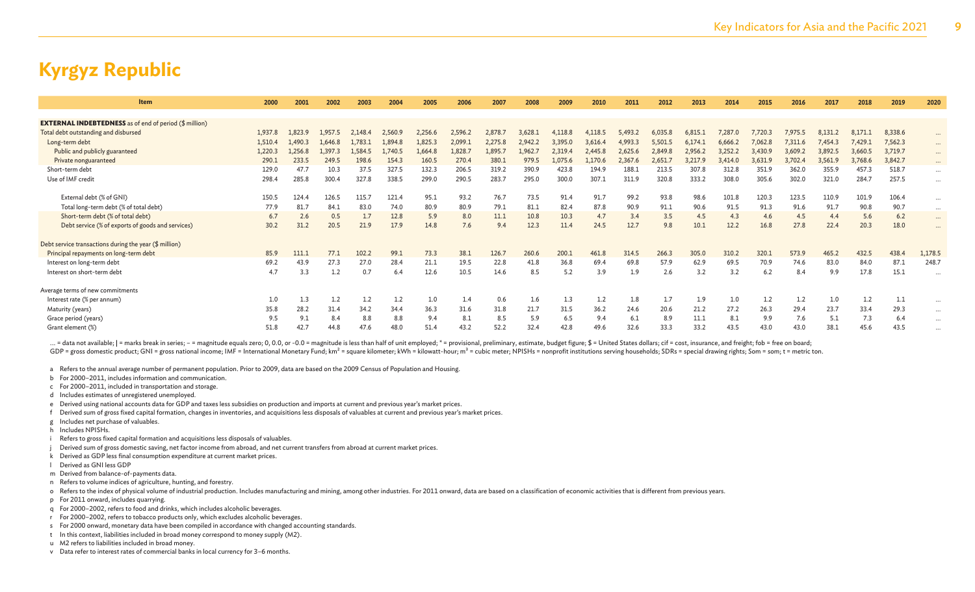| <b>Item</b>                                                   | 2000    | 2001    | 2002    | 2003    | 2004    | 2005    | 2006    | 2007    | 2008    | 2009    | 2010    | 2011    | 2012    | 2013    | 2014    | 2015    | 2016    | 2017    | 2018    | 2019    | 2020                 |
|---------------------------------------------------------------|---------|---------|---------|---------|---------|---------|---------|---------|---------|---------|---------|---------|---------|---------|---------|---------|---------|---------|---------|---------|----------------------|
|                                                               |         |         |         |         |         |         |         |         |         |         |         |         |         |         |         |         |         |         |         |         |                      |
| <b>EXTERNAL INDEBTEDNESS</b> as of end of period (\$ million) |         |         |         |         |         |         |         |         |         |         |         |         |         |         |         |         |         |         |         |         |                      |
| Total debt outstanding and disbursed                          | 1,937.8 | 1.823.9 | 1.957.5 | 2.148.4 | 2,560.  | 2,256.6 | 2,596.2 | 2,878.  | 3,628.1 | 4.118.  | 4,118.5 | 5,493.  | 6,035.8 | 6,815.  | 7.287.0 | 7,720.3 | 7,975.5 | 8.131.  | 8.171.1 | 8,338.6 | $\cdots$             |
| Long-term debt                                                | 1,510.4 | 1.490.3 | 1.646.8 | 1,783.1 | 1,894.8 | 1,825.3 | 2,099.1 | 2,275.8 | 2,942.2 | 3,395.0 | 3,616.4 | 4,993.3 | 5,501.5 | 6,174.1 | 6,666.2 | 7,062.8 | 7,311.6 | 7.454.3 | 7,429.1 | 7,562.3 | $\cdots$             |
| Public and publicly guaranteed                                | 1,220.3 | 1,256.8 | 1,397.3 | 1,584.5 | 1,740.5 | 1,664.8 | 1,828.7 | 1,895.7 | 1,962.7 | 2,319.4 | 2,445.8 | 2,625.6 | 2,849.8 | 2,956.2 | 3,252.2 | 3,430.9 | 3,609.2 | 3,892.5 | 3,660.5 | 3,719.7 | $\cdots$             |
| Private nonguaranteed                                         | 290.1   | 233.5   | 249.5   | 198.6   | 154.3   | 160.5   | 270.4   | 380.1   | 979.5   | 1.075.6 | L,170.6 | 2.367.6 | 2,651.  | 3,217.9 | 3,414.0 | 3,631.9 | 3,702.4 | 3,561.9 | 3,768.6 | 3,842.7 | $\cdots$             |
| Short-term debt                                               | 129.0   | 47.7    | 10.3    | 37.5    | 327.5   | 132.3   | 206.5   | 319.2   | 390.9   | 423.8   | 194.9   | 188.1   | 213.5   | 307.8   | 312.8   | 351.9   | 362.0   | 355.9   | 457.3   | 518.7   | $\cdots$             |
| Use of IMF credit                                             | 298.4   | 285.8   | 300.4   | 327.8   | 338.5   | 299.0   | 290.5   | 283.7   | 295.0   | 300.0   | 307.1   | 311.9   | 320.8   | 333.2   | 308.0   | 305.6   | 302.0   | 321.0   | 284.7   | 257.5   | $\ddotsc$            |
|                                                               |         |         |         |         |         |         |         |         |         |         |         |         |         |         |         |         |         |         |         |         |                      |
| External debt (% of GNI)                                      | 150.5   | 124.4   | 126.5   | 115.7   | 121.4   | 95.1    | 93.2    | 76.7    | 73.5    | 91.4    | 91.7    | 99.2    | 93.8    | 98.6    | 101.8   | 120.3   | 123.5   | 110.9   | 101.9   | 106.4   | $\cdots$             |
| Total long-term debt (% of total debt)                        | 77.9    | 81.7    | 84.1    | 83.0    | 74.0    | 80.9    | 80.9    | 79.1    | 81.1    | 82.4    | 87.8    | 90.9    | 91.1    | 90.6    | 91.5    | 91.3    | 91.6    | 91.7    | 90.8    | 90.7    | $\cdots$             |
| Short-term debt (% of total debt)                             | 6.7     | 2.6     | 0.5     | 1.7     | 12.8    | 5.9     | 8.0     | 11.1    | 10.8    | 10.3    | 4.7     | 3.4     | 3.5     | 4.5     | 4.3     | 4.6     | 4.5     | 4.4     | 5.6     | 6.2     | $\cdots$             |
| Debt service (% of exports of goods and services)             | 30.2    | 31.2    | 20.5    | 21.9    | 17.9    | 14.8    | 7.6     | 9.4     | 12.3    | 11.4    | 24.5    | 12.7    | 9.8     | 10.1    | 12.2    | 16.8    | 27.8    | 22.4    | 20.3    | 18.0    | $\ddot{\phantom{a}}$ |
| Debt service transactions during the year (\$ million)        |         |         |         |         |         |         |         |         |         |         |         |         |         |         |         |         |         |         |         |         |                      |
| Principal repayments on long-term debt                        | 85.9    | 111.1   | 77.1    | 102.2   | 99.1    | 73.3    | 38.1    | 126.7   | 260.6   | 200.1   | 461.8   | 314.5   | 266.3   | 305.0   | 310.2   | 320.1   | 573.9   | 465.2   | 432.5   | 438.4   | 1,178.5              |
| Interest on long-term debt                                    | 69.2    | 43.9    | 27.3    | 27.0    | 28.4    | 21.1    | 19.5    | 22.8    | 41.8    | 36.8    | 69.4    | 69.8    | 57.9    | 62.9    | 69.5    | 70.9    | 74.6    | 83.0    | 84.0    | 87.1    | 248.7                |
| Interest on short-term debt                                   | 4.7     | 3.3     | 1.2     | 0.7     | 6.4     | 12.6    | 10.5    | 14.6    | 8.5     | 5.2     | 3.9     | 1.9     | 2.6     | 3.2     | 3.2     | 6.2     | 8.4     | 9.9     | 17.8    | 15.1    |                      |
|                                                               |         |         |         |         |         |         |         |         |         |         |         |         |         |         |         |         |         |         |         |         |                      |
| Average terms of new commitments                              |         |         |         |         |         |         |         |         |         |         |         |         |         |         |         |         |         |         |         |         |                      |
| Interest rate (% per annum)                                   | 1.0     | 1.3     | 1.2     | 1.2     | 1.2     | 1.0     | 1.4     | 0.6     | $1.6\,$ | 1.3     | 1.2     | 1.8     |         | 1.9     | 1.0     | 1.2     | 1.2     | 1.0     | 1.2     | 1.1     | $\cdots$             |
| Maturity (years)                                              | 35.8    | 28.2    | 31.4    | 34.2    | 34.4    | 36.3    | 31.6    | 31.8    | 21.7    | 31.5    | 36.2    | 24.6    | 20.6    | 21.2    | 27.2    | 26.3    | 29.4    | 23.7    | 33.4    | 29.3    | $\cdots$             |
| Grace period (years)                                          | 9.5     | 9.1     | 8.4     | 8.8     | 8.8     | 9.4     | 8.1     | 8.5     | 5.9     | 6.5     | 9.4     | 6.1     | 8.9     | 11.1    | 8.1     | 9.9     | 7.6     | 5.1     | 7.3     | 6.4     | $\cdots$             |
| Grant element (%)                                             | 51.8    | 42.7    | 44.8    | 47.6    | 48.0    | 51.4    | 43.2    | 52.2    | 32.4    | 42.8    | 49.6    | 32.6    | 33.3    | 33.2    | 43.5    | 43.0    | 43.0    | 38.1    | 45.6    | 43.5    | $\cdots$             |
|                                                               |         |         |         |         |         |         |         |         |         |         |         |         |         |         |         |         |         |         |         |         |                      |

... = data not available; | = marks break in series; - = magnitude equals zero; 0, 0.0, or -0.0 = magnitude is less than half of unit employed; \* = provisional, preliminary, estimate, budget figure; \$ = United States dolla GDP = gross domestic product; GNI = gross national income; IMF = International Monetary Fund; km<sup>2</sup> = square kilometer; kWh = kilowatt-hour; m<sup>3</sup> = cubic meter; NPISHs = nonprofit institutions serving households; SDRs = s

a Refers to the annual average number of permanent population. Prior to 2009, data are based on the 2009 Census of Population and Housing.

- b For 2000–2011, includes information and communication.
- c For 2000–2011, included in transportation and storage.
- d Includes estimates of unregistered unemployed.
- e Derived using national accounts data for GDP and taxes less subsidies on production and imports at current and previous year's market prices.
- f Derived sum of gross fixed capital formation, changes in inventories, and acquisitions less disposals of valuables at current and previous year's market prices.
- g Includes net purchase of valuables.
- h Includes NPISHs.
- i Refers to gross fixed capital formation and acquisitions less disposals of valuables.
- Derived sum of gross domestic saving, net factor income from abroad, and net current transfers from abroad at current market prices.
- k Derived as GDP less final consumption expenditure at current market prices.
- l Derived as GNI less GDP
- m Derived from balance-of-payments data.
- n Refers to volume indices of agriculture, hunting, and forestry.
- o Refers to the index of physical volume of industrial production. Includes manufacturing and mining, among other industries. For 2011 onward, data are based on a classification of economic activities that is different fro
- p For 2011 onward, includes quarrying.
- q For 2000–2002, refers to food and drinks, which includes alcoholic beverages.
- r For 2000–2002, refers to tobacco products only, which excludes alcoholic beverages.
- s For 2000 onward, monetary data have been compiled in accordance with changed accounting standards.
- t In this context, liabilities included in broad money correspond to money supply (M2).
- u M2 refers to liabilities included in broad money.
- v Data refer to interest rates of commercial banks in local currency for 3–6 months.